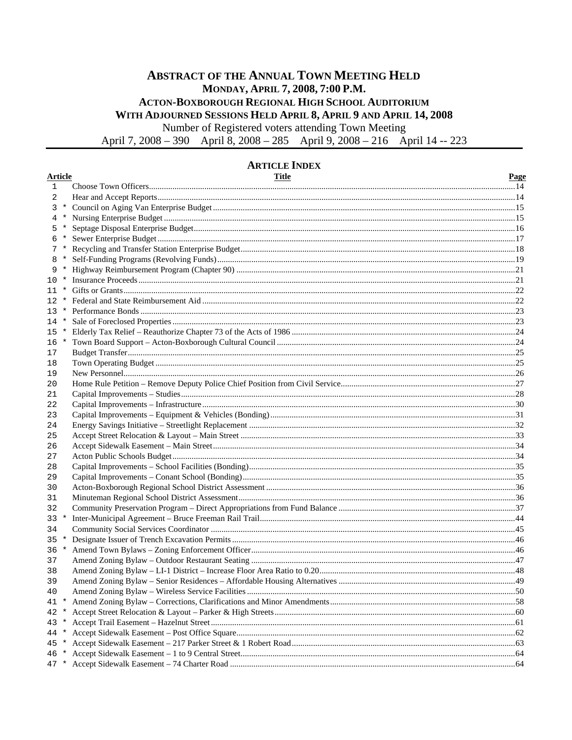# **ABSTRACT OF THE ANNUAL TOWN MEETING HELD** MONDAY, APRIL 7, 2008, 7:00 P.M. ACTON-BOXBOROUGH REGIONAL HIGH SCHOOL AUDITORIUM WITH ADJOURNED SESSIONS HELD APRIL 8, APRIL 9 AND APRIL 14, 2008

Number of Registered voters attending Town Meeting

April 7, 2008 - 390 April 8, 2008 - 285 April 9, 2008 - 216 April 14 -- 223

# **ARTICLE INDEX**

| <b>Article</b> |         | <b>Title</b> | <b>Page</b> |
|----------------|---------|--------------|-------------|
| $\mathbf{1}$   |         |              |             |
| 2              |         |              |             |
| 3              | $\star$ |              |             |
| 4              |         |              |             |
| 5              | $\ast$  |              |             |
| 6              |         |              |             |
| $7*$           |         |              |             |
|                | $\ast$  |              |             |
| 9              |         |              |             |
| 10             |         |              |             |
|                | $\ast$  |              |             |
| $12 *$         |         |              |             |
| $13 *$         |         |              |             |
| $14 *$         |         |              |             |
| 15             | $\star$ |              |             |
| $16 *$         |         |              |             |
| 17             |         |              |             |
| 18             |         |              |             |
| 19             |         |              |             |
| 20             |         |              |             |
| 21             |         |              |             |
| 22             |         |              |             |
| 23             |         |              |             |
| 24             |         |              |             |
| 25             |         |              |             |
| 26             |         |              |             |
| 27             |         |              |             |
| 28             |         |              |             |
| 29             |         |              |             |
| 30             |         |              |             |
| 31             |         |              |             |
| 32             |         |              |             |
| $33 *$         |         |              |             |
| 34             |         |              |             |
| 35             | $\star$ |              |             |
| $36 *$         |         |              |             |
| 37             |         |              |             |
| 38             |         |              |             |
| 39             |         |              |             |
| 40             |         |              | 50          |
|                |         |              |             |
| 42 *           |         |              |             |
| 43 *           |         |              |             |
| 44 *           |         |              |             |
| 45             | $\star$ |              |             |
|                |         |              |             |
|                |         |              |             |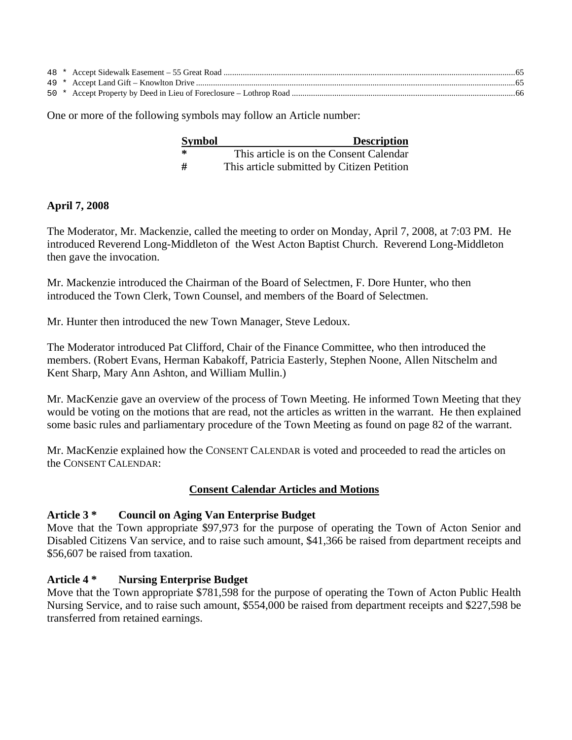One or more of the following symbols may follow an Article number:

| <b>Symbol</b> | <b>Description</b>                         |
|---------------|--------------------------------------------|
| ∗             | This article is on the Consent Calendar    |
| #             | This article submitted by Citizen Petition |

### **April 7, 2008**

The Moderator, Mr. Mackenzie, called the meeting to order on Monday, April 7, 2008, at 7:03 PM. He introduced Reverend Long-Middleton of the West Acton Baptist Church. Reverend Long-Middleton then gave the invocation.

Mr. Mackenzie introduced the Chairman of the Board of Selectmen, F. Dore Hunter, who then introduced the Town Clerk, Town Counsel, and members of the Board of Selectmen.

Mr. Hunter then introduced the new Town Manager, Steve Ledoux.

The Moderator introduced Pat Clifford, Chair of the Finance Committee, who then introduced the members. (Robert Evans, Herman Kabakoff, Patricia Easterly, Stephen Noone, Allen Nitschelm and Kent Sharp, Mary Ann Ashton, and William Mullin.)

Mr. MacKenzie gave an overview of the process of Town Meeting. He informed Town Meeting that they would be voting on the motions that are read, not the articles as written in the warrant. He then explained some basic rules and parliamentary procedure of the Town Meeting as found on page 82 of the warrant.

Mr. MacKenzie explained how the CONSENT CALENDAR is voted and proceeded to read the articles on the CONSENT CALENDAR:

# **Consent Calendar Articles and Motions**

# **Article 3 \* Council on Aging Van Enterprise Budget**

Move that the Town appropriate \$97,973 for the purpose of operating the Town of Acton Senior and Disabled Citizens Van service, and to raise such amount, \$41,366 be raised from department receipts and \$56,607 be raised from taxation.

# **Article 4 \* Nursing Enterprise Budget**

Move that the Town appropriate \$781,598 for the purpose of operating the Town of Acton Public Health Nursing Service, and to raise such amount, \$554,000 be raised from department receipts and \$227,598 be transferred from retained earnings.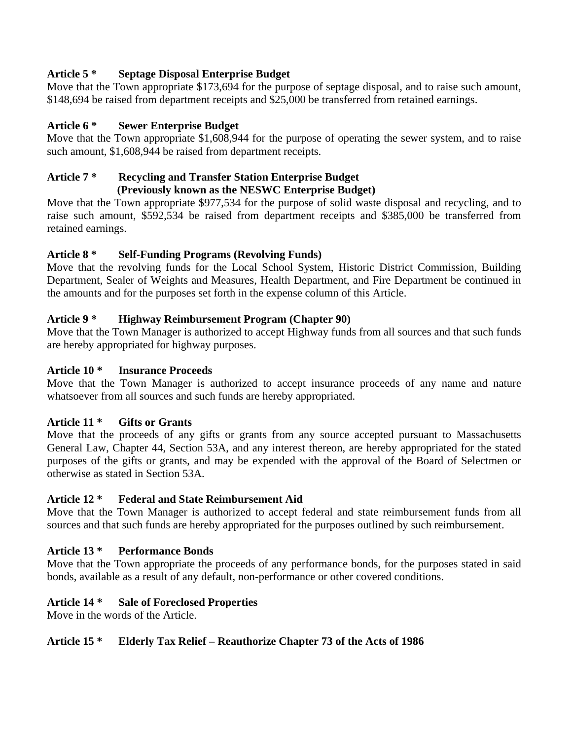# **Article 5 \* Septage Disposal Enterprise Budget**

Move that the Town appropriate \$173,694 for the purpose of septage disposal, and to raise such amount, \$148,694 be raised from department receipts and \$25,000 be transferred from retained earnings.

# **Article 6 \* Sewer Enterprise Budget**

Move that the Town appropriate \$1,608,944 for the purpose of operating the sewer system, and to raise such amount, \$1,608,944 be raised from department receipts.

#### **Article 7 \* Recycling and Transfer Station Enterprise Budget (Previously known as the NESWC Enterprise Budget)**

Move that the Town appropriate \$977,534 for the purpose of solid waste disposal and recycling, and to raise such amount, \$592,534 be raised from department receipts and \$385,000 be transferred from retained earnings.

# **Article 8 \* Self-Funding Programs (Revolving Funds)**

Move that the revolving funds for the Local School System, Historic District Commission, Building Department, Sealer of Weights and Measures, Health Department, and Fire Department be continued in the amounts and for the purposes set forth in the expense column of this Article.

# **Article 9 \* Highway Reimbursement Program (Chapter 90)**

Move that the Town Manager is authorized to accept Highway funds from all sources and that such funds are hereby appropriated for highway purposes.

# **Article 10 \* Insurance Proceeds**

Move that the Town Manager is authorized to accept insurance proceeds of any name and nature whatsoever from all sources and such funds are hereby appropriated.

# **Article 11 \* Gifts or Grants**

Move that the proceeds of any gifts or grants from any source accepted pursuant to Massachusetts General Law, Chapter 44, Section 53A, and any interest thereon, are hereby appropriated for the stated purposes of the gifts or grants, and may be expended with the approval of the Board of Selectmen or otherwise as stated in Section 53A.

# **Article 12 \* Federal and State Reimbursement Aid**

Move that the Town Manager is authorized to accept federal and state reimbursement funds from all sources and that such funds are hereby appropriated for the purposes outlined by such reimbursement.

# **Article 13 \* Performance Bonds**

Move that the Town appropriate the proceeds of any performance bonds, for the purposes stated in said bonds, available as a result of any default, non-performance or other covered conditions.

# **Article 14 \* Sale of Foreclosed Properties**

Move in the words of the Article.

# **Article 15 \* Elderly Tax Relief – Reauthorize Chapter 73 of the Acts of 1986**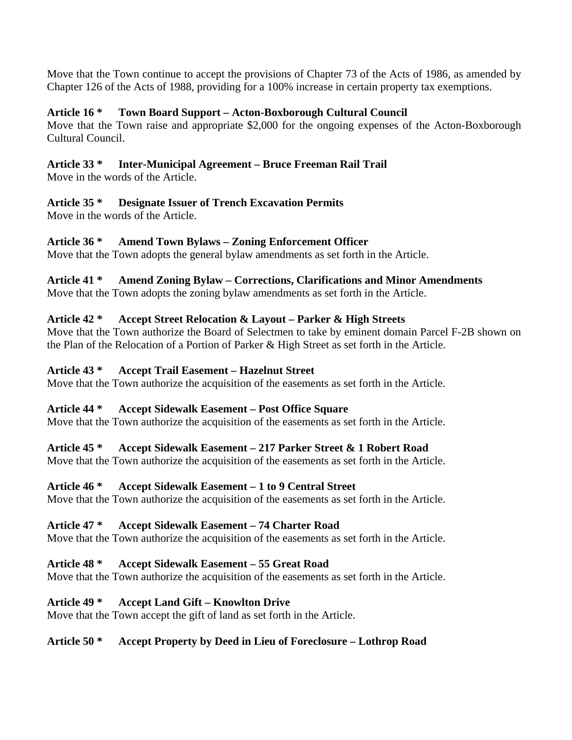Move that the Town continue to accept the provisions of Chapter 73 of the Acts of 1986, as amended by Chapter 126 of the Acts of 1988, providing for a 100% increase in certain property tax exemptions.

# **Article 16 \* Town Board Support – Acton-Boxborough Cultural Council**

Move that the Town raise and appropriate \$2,000 for the ongoing expenses of the Acton-Boxborough Cultural Council.

# **Article 33 \* Inter-Municipal Agreement – Bruce Freeman Rail Trail**

Move in the words of the Article.

# **Article 35 \* Designate Issuer of Trench Excavation Permits**

Move in the words of the Article.

# **Article 36 \* Amend Town Bylaws – Zoning Enforcement Officer**

Move that the Town adopts the general bylaw amendments as set forth in the Article.

# **Article 41 \* Amend Zoning Bylaw – Corrections, Clarifications and Minor Amendments**

Move that the Town adopts the zoning bylaw amendments as set forth in the Article.

# **Article 42 \* Accept Street Relocation & Layout – Parker & High Streets**

Move that the Town authorize the Board of Selectmen to take by eminent domain Parcel F-2B shown on the Plan of the Relocation of a Portion of Parker & High Street as set forth in the Article.

# **Article 43 \* Accept Trail Easement – Hazelnut Street**

Move that the Town authorize the acquisition of the easements as set forth in the Article.

# **Article 44 \* Accept Sidewalk Easement – Post Office Square**

Move that the Town authorize the acquisition of the easements as set forth in the Article.

# **Article 45 \* Accept Sidewalk Easement – 217 Parker Street & 1 Robert Road**

Move that the Town authorize the acquisition of the easements as set forth in the Article.

# **Article 46 \* Accept Sidewalk Easement – 1 to 9 Central Street**

Move that the Town authorize the acquisition of the easements as set forth in the Article.

# **Article 47 \* Accept Sidewalk Easement – 74 Charter Road**

Move that the Town authorize the acquisition of the easements as set forth in the Article.

# **Article 48 \* Accept Sidewalk Easement – 55 Great Road**

Move that the Town authorize the acquisition of the easements as set forth in the Article.

# **Article 49 \* Accept Land Gift – Knowlton Drive**

Move that the Town accept the gift of land as set forth in the Article.

# **Article 50 \* Accept Property by Deed in Lieu of Foreclosure – Lothrop Road**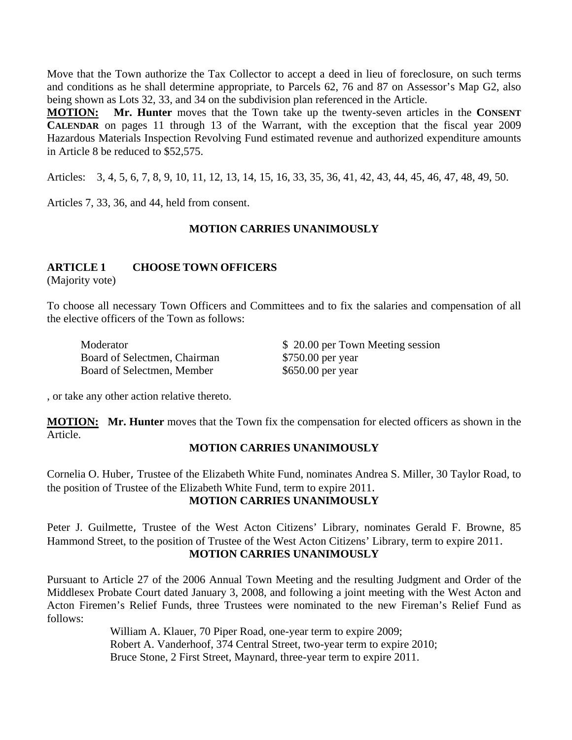Move that the Town authorize the Tax Collector to accept a deed in lieu of foreclosure, on such terms and conditions as he shall determine appropriate, to Parcels 62, 76 and 87 on Assessor's Map G2, also being shown as Lots 32, 33, and 34 on the subdivision plan referenced in the Article.

**MOTION: Mr. Hunter** moves that the Town take up the twenty-seven articles in the **CONSENT CALENDAR** on pages 11 through 13 of the Warrant, with the exception that the fiscal year 2009 Hazardous Materials Inspection Revolving Fund estimated revenue and authorized expenditure amounts in Article 8 be reduced to \$52,575.

Articles: 3, 4, 5, 6, 7, 8, 9, 10, 11, 12, 13, 14, 15, 16, 33, 35, 36, 41, 42, 43, 44, 45, 46, 47, 48, 49, 50.

Articles 7, 33, 36, and 44, held from consent.

#### **MOTION CARRIES UNANIMOUSLY**

#### **ARTICLE 1 CHOOSE TOWN OFFICERS**

(Majority vote)

To choose all necessary Town Officers and Committees and to fix the salaries and compensation of all the elective officers of the Town as follows:

Moderator  $$ 20.00$  per Town Meeting session Board of Selectmen, Chairman \$750.00 per year Board of Selectmen, Member \$650.00 per year

, or take any other action relative thereto.

**MOTION: Mr. Hunter** moves that the Town fix the compensation for elected officers as shown in the Article.

#### **MOTION CARRIES UNANIMOUSLY**

Cornelia O. Huber, Trustee of the Elizabeth White Fund, nominates Andrea S. Miller, 30 Taylor Road, to the position of Trustee of the Elizabeth White Fund, term to expire 2011. **MOTION CARRIES UNANIMOUSLY**

Peter J. Guilmette, Trustee of the West Acton Citizens' Library, nominates Gerald F. Browne, 85 Hammond Street, to the position of Trustee of the West Acton Citizens' Library, term to expire 2011. **MOTION CARRIES UNANIMOUSLY**

Pursuant to Article 27 of the 2006 Annual Town Meeting and the resulting Judgment and Order of the Middlesex Probate Court dated January 3, 2008, and following a joint meeting with the West Acton and Acton Firemen's Relief Funds, three Trustees were nominated to the new Fireman's Relief Fund as follows:

> William A. Klauer, 70 Piper Road, one-year term to expire 2009; Robert A. Vanderhoof, 374 Central Street, two-year term to expire 2010; Bruce Stone, 2 First Street, Maynard, three-year term to expire 2011.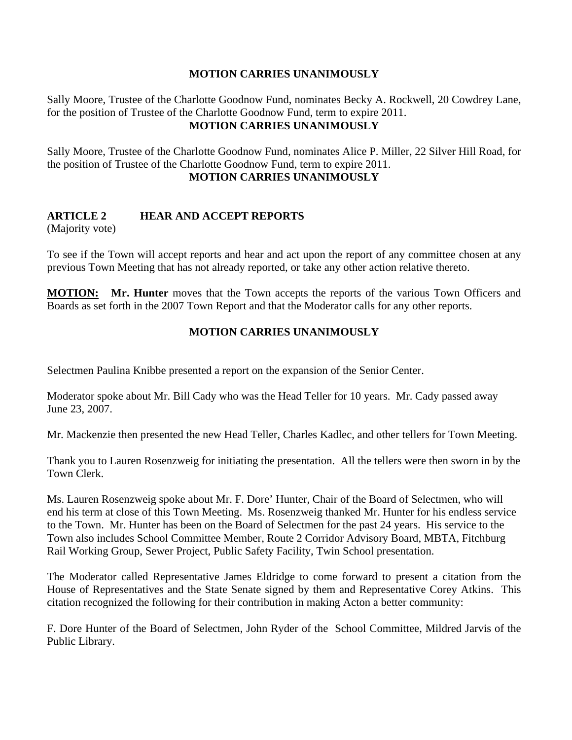### **MOTION CARRIES UNANIMOUSLY**

Sally Moore, Trustee of the Charlotte Goodnow Fund, nominates Becky A. Rockwell, 20 Cowdrey Lane, for the position of Trustee of the Charlotte Goodnow Fund, term to expire 2011. **MOTION CARRIES UNANIMOUSLY**

Sally Moore, Trustee of the Charlotte Goodnow Fund, nominates Alice P. Miller, 22 Silver Hill Road, for the position of Trustee of the Charlotte Goodnow Fund, term to expire 2011. **MOTION CARRIES UNANIMOUSLY**

# **ARTICLE 2 HEAR AND ACCEPT REPORTS**

(Majority vote)

To see if the Town will accept reports and hear and act upon the report of any committee chosen at any previous Town Meeting that has not already reported, or take any other action relative thereto.

**MOTION: Mr. Hunter** moves that the Town accepts the reports of the various Town Officers and Boards as set forth in the 2007 Town Report and that the Moderator calls for any other reports.

# **MOTION CARRIES UNANIMOUSLY**

Selectmen Paulina Knibbe presented a report on the expansion of the Senior Center.

Moderator spoke about Mr. Bill Cady who was the Head Teller for 10 years. Mr. Cady passed away June 23, 2007.

Mr. Mackenzie then presented the new Head Teller, Charles Kadlec, and other tellers for Town Meeting.

Thank you to Lauren Rosenzweig for initiating the presentation. All the tellers were then sworn in by the Town Clerk.

Ms. Lauren Rosenzweig spoke about Mr. F. Dore' Hunter, Chair of the Board of Selectmen, who will end his term at close of this Town Meeting. Ms. Rosenzweig thanked Mr. Hunter for his endless service to the Town. Mr. Hunter has been on the Board of Selectmen for the past 24 years. His service to the Town also includes School Committee Member, Route 2 Corridor Advisory Board, MBTA, Fitchburg Rail Working Group, Sewer Project, Public Safety Facility, Twin School presentation.

The Moderator called Representative James Eldridge to come forward to present a citation from the House of Representatives and the State Senate signed by them and Representative Corey Atkins. This citation recognized the following for their contribution in making Acton a better community:

F. Dore Hunter of the Board of Selectmen, John Ryder of the School Committee, Mildred Jarvis of the Public Library.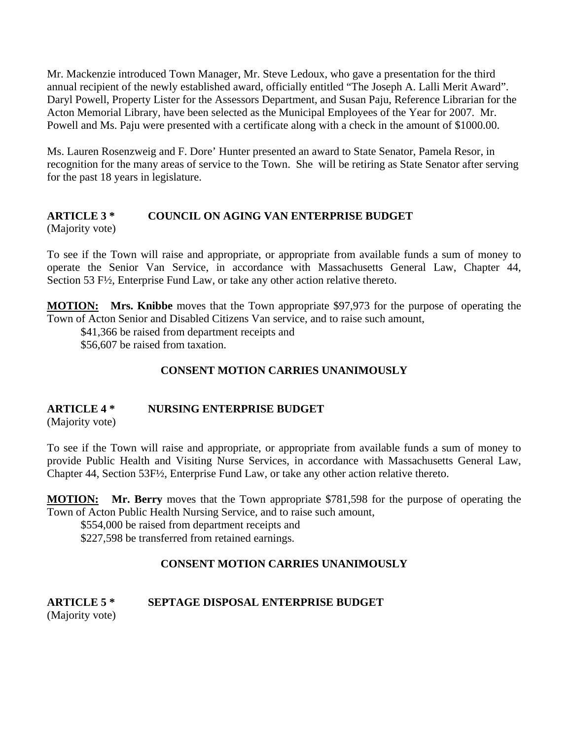Mr. Mackenzie introduced Town Manager, Mr. Steve Ledoux, who gave a presentation for the third annual recipient of the newly established award, officially entitled "The Joseph A. Lalli Merit Award". Daryl Powell, Property Lister for the Assessors Department, and Susan Paju, Reference Librarian for the Acton Memorial Library, have been selected as the Municipal Employees of the Year for 2007. Mr. Powell and Ms. Paju were presented with a certificate along with a check in the amount of \$1000.00.

Ms. Lauren Rosenzweig and F. Dore' Hunter presented an award to State Senator, Pamela Resor, in recognition for the many areas of service to the Town. She will be retiring as State Senator after serving for the past 18 years in legislature.

### **ARTICLE 3 \* COUNCIL ON AGING VAN ENTERPRISE BUDGET**  (Majority vote)

To see if the Town will raise and appropriate, or appropriate from available funds a sum of money to operate the Senior Van Service, in accordance with Massachusetts General Law, Chapter 44, Section 53 F½, Enterprise Fund Law, or take any other action relative thereto.

**MOTION: Mrs. Knibbe** moves that the Town appropriate \$97,973 for the purpose of operating the Town of Acton Senior and Disabled Citizens Van service, and to raise such amount,

\$41,366 be raised from department receipts and

\$56,607 be raised from taxation.

# **CONSENT MOTION CARRIES UNANIMOUSLY**

# **ARTICLE 4 \* NURSING ENTERPRISE BUDGET**

(Majority vote)

To see if the Town will raise and appropriate, or appropriate from available funds a sum of money to provide Public Health and Visiting Nurse Services, in accordance with Massachusetts General Law, Chapter 44, Section 53F½, Enterprise Fund Law, or take any other action relative thereto.

**MOTION: Mr. Berry** moves that the Town appropriate \$781,598 for the purpose of operating the Town of Acton Public Health Nursing Service, and to raise such amount,

 \$554,000 be raised from department receipts and \$227,598 be transferred from retained earnings.

# **CONSENT MOTION CARRIES UNANIMOUSLY**

# **ARTICLE 5 \* SEPTAGE DISPOSAL ENTERPRISE BUDGET**

(Majority vote)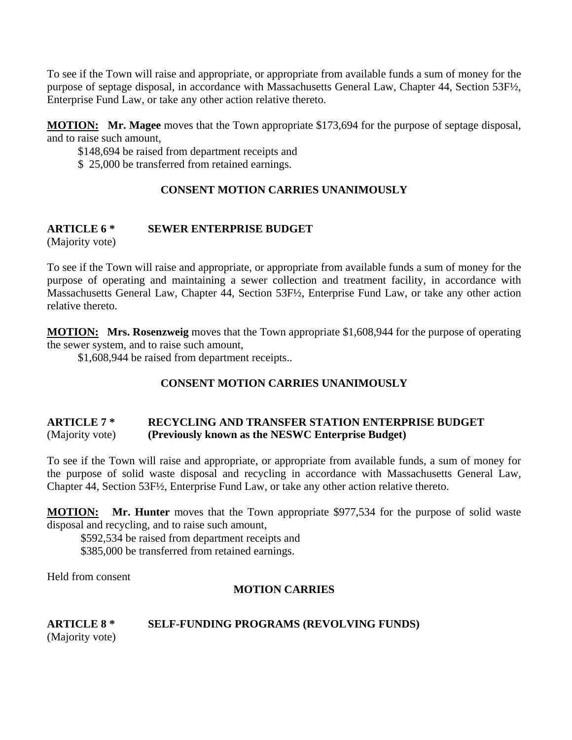To see if the Town will raise and appropriate, or appropriate from available funds a sum of money for the purpose of septage disposal, in accordance with Massachusetts General Law, Chapter 44, Section 53F½, Enterprise Fund Law, or take any other action relative thereto.

**MOTION: Mr. Magee** moves that the Town appropriate \$173,694 for the purpose of septage disposal, and to raise such amount,

\$148,694 be raised from department receipts and

\$ 25,000 be transferred from retained earnings.

# **CONSENT MOTION CARRIES UNANIMOUSLY**

# **ARTICLE 6 \* SEWER ENTERPRISE BUDGET**

(Majority vote)

To see if the Town will raise and appropriate, or appropriate from available funds a sum of money for the purpose of operating and maintaining a sewer collection and treatment facility, in accordance with Massachusetts General Law, Chapter 44, Section 53F½, Enterprise Fund Law, or take any other action relative thereto.

**MOTION: Mrs. Rosenzweig** moves that the Town appropriate \$1,608,944 for the purpose of operating the sewer system, and to raise such amount,

\$1,608,944 be raised from department receipts..

# **CONSENT MOTION CARRIES UNANIMOUSLY**

# **ARTICLE 7 \* RECYCLING AND TRANSFER STATION ENTERPRISE BUDGET**  (Majority vote) **(Previously known as the NESWC Enterprise Budget)**

To see if the Town will raise and appropriate, or appropriate from available funds, a sum of money for the purpose of solid waste disposal and recycling in accordance with Massachusetts General Law, Chapter 44, Section 53F½, Enterprise Fund Law, or take any other action relative thereto.

**MOTION: Mr. Hunter** moves that the Town appropriate \$977,534 for the purpose of solid waste disposal and recycling, and to raise such amount,

\$592,534 be raised from department receipts and \$385,000 be transferred from retained earnings.

Held from consent

# **MOTION CARRIES**

# **ARTICLE 8 \* SELF-FUNDING PROGRAMS (REVOLVING FUNDS)** (Majority vote)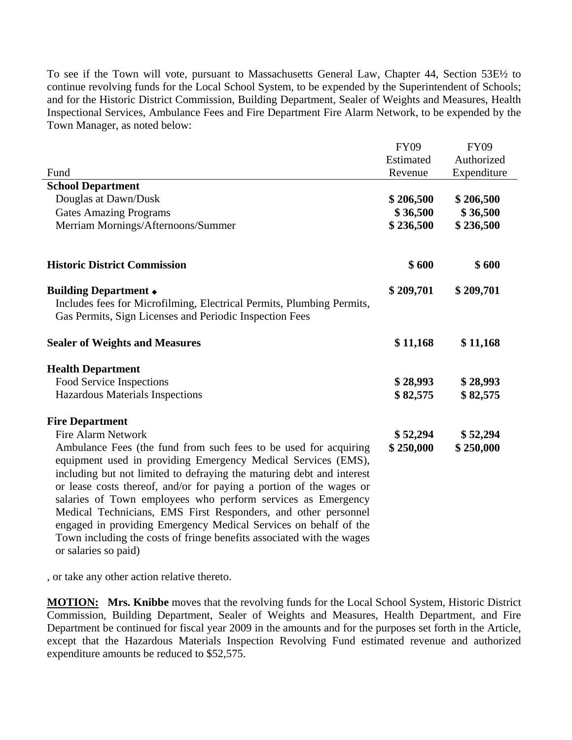To see if the Town will vote, pursuant to Massachusetts General Law, Chapter 44, Section 53E½ to continue revolving funds for the Local School System, to be expended by the Superintendent of Schools; and for the Historic District Commission, Building Department, Sealer of Weights and Measures, Health Inspectional Services, Ambulance Fees and Fire Department Fire Alarm Network, to be expended by the Town Manager, as noted below:

|                                                                                                                                                                                                                                                                                                                                                                                                                                                                                                                                                                                          | <b>FY09</b> | <b>FY09</b> |
|------------------------------------------------------------------------------------------------------------------------------------------------------------------------------------------------------------------------------------------------------------------------------------------------------------------------------------------------------------------------------------------------------------------------------------------------------------------------------------------------------------------------------------------------------------------------------------------|-------------|-------------|
|                                                                                                                                                                                                                                                                                                                                                                                                                                                                                                                                                                                          | Estimated   | Authorized  |
| Fund                                                                                                                                                                                                                                                                                                                                                                                                                                                                                                                                                                                     | Revenue     | Expenditure |
| <b>School Department</b>                                                                                                                                                                                                                                                                                                                                                                                                                                                                                                                                                                 |             |             |
| Douglas at Dawn/Dusk                                                                                                                                                                                                                                                                                                                                                                                                                                                                                                                                                                     | \$206,500   | \$206,500   |
| <b>Gates Amazing Programs</b>                                                                                                                                                                                                                                                                                                                                                                                                                                                                                                                                                            | \$36,500    | \$36,500    |
| Merriam Mornings/Afternoons/Summer                                                                                                                                                                                                                                                                                                                                                                                                                                                                                                                                                       | \$236,500   | \$236,500   |
| <b>Historic District Commission</b>                                                                                                                                                                                                                                                                                                                                                                                                                                                                                                                                                      | \$600       | \$600       |
| <b>Building Department +</b><br>Includes fees for Microfilming, Electrical Permits, Plumbing Permits,<br>Gas Permits, Sign Licenses and Periodic Inspection Fees                                                                                                                                                                                                                                                                                                                                                                                                                         | \$209,701   | \$209,701   |
| <b>Sealer of Weights and Measures</b>                                                                                                                                                                                                                                                                                                                                                                                                                                                                                                                                                    | \$11,168    | \$11,168    |
| <b>Health Department</b>                                                                                                                                                                                                                                                                                                                                                                                                                                                                                                                                                                 |             |             |
| Food Service Inspections                                                                                                                                                                                                                                                                                                                                                                                                                                                                                                                                                                 | \$28,993    | \$28,993    |
| Hazardous Materials Inspections                                                                                                                                                                                                                                                                                                                                                                                                                                                                                                                                                          | \$82,575    | \$82,575    |
| <b>Fire Department</b>                                                                                                                                                                                                                                                                                                                                                                                                                                                                                                                                                                   |             |             |
| <b>Fire Alarm Network</b>                                                                                                                                                                                                                                                                                                                                                                                                                                                                                                                                                                | \$52,294    | \$ 52,294   |
| Ambulance Fees (the fund from such fees to be used for acquiring<br>equipment used in providing Emergency Medical Services (EMS),<br>including but not limited to defraying the maturing debt and interest<br>or lease costs thereof, and/or for paying a portion of the wages or<br>salaries of Town employees who perform services as Emergency<br>Medical Technicians, EMS First Responders, and other personnel<br>engaged in providing Emergency Medical Services on behalf of the<br>Town including the costs of fringe benefits associated with the wages<br>or salaries so paid) | \$250,000   | \$250,000   |

, or take any other action relative thereto.

**MOTION: Mrs. Knibbe** moves that the revolving funds for the Local School System, Historic District Commission, Building Department, Sealer of Weights and Measures, Health Department, and Fire Department be continued for fiscal year 2009 in the amounts and for the purposes set forth in the Article, except that the Hazardous Materials Inspection Revolving Fund estimated revenue and authorized expenditure amounts be reduced to \$52,575.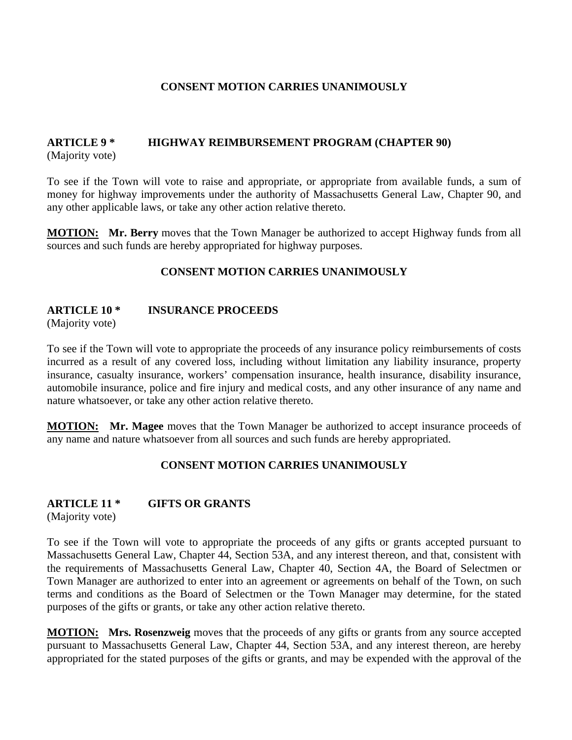# **CONSENT MOTION CARRIES UNANIMOUSLY**

#### **ARTICLE 9 \* HIGHWAY REIMBURSEMENT PROGRAM (CHAPTER 90)** (Majority vote)

To see if the Town will vote to raise and appropriate, or appropriate from available funds, a sum of money for highway improvements under the authority of Massachusetts General Law, Chapter 90, and any other applicable laws, or take any other action relative thereto.

**MOTION: Mr. Berry** moves that the Town Manager be authorized to accept Highway funds from all sources and such funds are hereby appropriated for highway purposes.

# **CONSENT MOTION CARRIES UNANIMOUSLY**

### **ARTICLE 10 \* INSURANCE PROCEEDS**

(Majority vote)

To see if the Town will vote to appropriate the proceeds of any insurance policy reimbursements of costs incurred as a result of any covered loss, including without limitation any liability insurance, property insurance, casualty insurance, workers' compensation insurance, health insurance, disability insurance, automobile insurance, police and fire injury and medical costs, and any other insurance of any name and nature whatsoever, or take any other action relative thereto.

**MOTION:** Mr. Magee moves that the Town Manager be authorized to accept insurance proceeds of any name and nature whatsoever from all sources and such funds are hereby appropriated.

# **CONSENT MOTION CARRIES UNANIMOUSLY**

# **ARTICLE 11 \* GIFTS OR GRANTS**

(Majority vote)

To see if the Town will vote to appropriate the proceeds of any gifts or grants accepted pursuant to Massachusetts General Law, Chapter 44, Section 53A, and any interest thereon, and that, consistent with the requirements of Massachusetts General Law, Chapter 40, Section 4A, the Board of Selectmen or Town Manager are authorized to enter into an agreement or agreements on behalf of the Town, on such terms and conditions as the Board of Selectmen or the Town Manager may determine, for the stated purposes of the gifts or grants, or take any other action relative thereto.

**MOTION: Mrs. Rosenzweig** moves that the proceeds of any gifts or grants from any source accepted pursuant to Massachusetts General Law, Chapter 44, Section 53A, and any interest thereon, are hereby appropriated for the stated purposes of the gifts or grants, and may be expended with the approval of the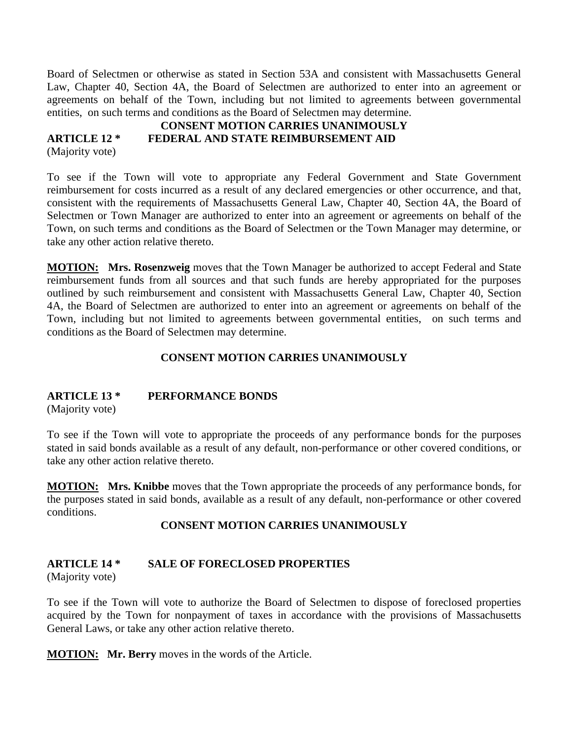Board of Selectmen or otherwise as stated in Section 53A and consistent with Massachusetts General Law, Chapter 40, Section 4A, the Board of Selectmen are authorized to enter into an agreement or agreements on behalf of the Town, including but not limited to agreements between governmental entities, on such terms and conditions as the Board of Selectmen may determine.

#### **CONSENT MOTION CARRIES UNANIMOUSLY ARTICLE 12 \* FEDERAL AND STATE REIMBURSEMENT AID** (Majority vote)

To see if the Town will vote to appropriate any Federal Government and State Government reimbursement for costs incurred as a result of any declared emergencies or other occurrence, and that, consistent with the requirements of Massachusetts General Law, Chapter 40, Section 4A, the Board of Selectmen or Town Manager are authorized to enter into an agreement or agreements on behalf of the Town, on such terms and conditions as the Board of Selectmen or the Town Manager may determine, or take any other action relative thereto.

**MOTION: Mrs. Rosenzweig** moves that the Town Manager be authorized to accept Federal and State reimbursement funds from all sources and that such funds are hereby appropriated for the purposes outlined by such reimbursement and consistent with Massachusetts General Law, Chapter 40, Section 4A, the Board of Selectmen are authorized to enter into an agreement or agreements on behalf of the Town, including but not limited to agreements between governmental entities, on such terms and conditions as the Board of Selectmen may determine.

# **CONSENT MOTION CARRIES UNANIMOUSLY**

# **ARTICLE 13 \* PERFORMANCE BONDS**

(Majority vote)

To see if the Town will vote to appropriate the proceeds of any performance bonds for the purposes stated in said bonds available as a result of any default, non-performance or other covered conditions, or take any other action relative thereto.

**MOTION: Mrs. Knibbe** moves that the Town appropriate the proceeds of any performance bonds, for the purposes stated in said bonds, available as a result of any default, non-performance or other covered conditions.

# **CONSENT MOTION CARRIES UNANIMOUSLY**

# **ARTICLE 14 \* SALE OF FORECLOSED PROPERTIES**

(Majority vote)

To see if the Town will vote to authorize the Board of Selectmen to dispose of foreclosed properties acquired by the Town for nonpayment of taxes in accordance with the provisions of Massachusetts General Laws, or take any other action relative thereto.

**MOTION: Mr. Berry** moves in the words of the Article.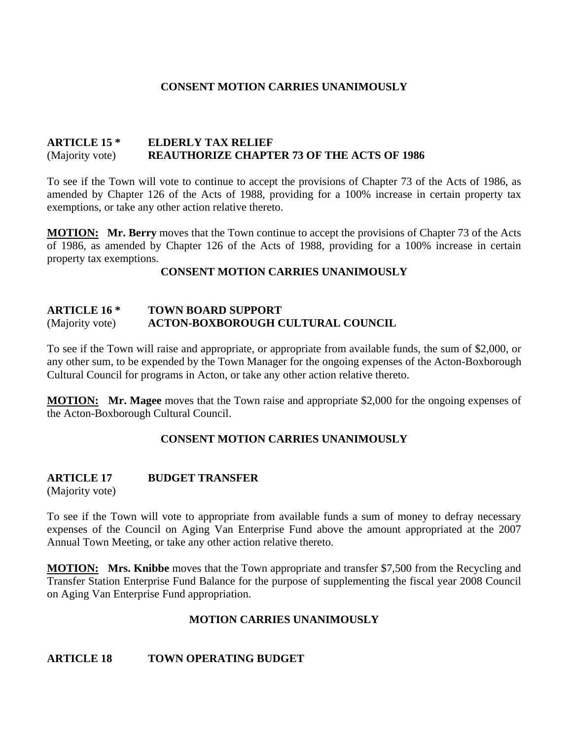### **CONSENT MOTION CARRIES UNANIMOUSLY**

#### **ARTICLE 15 \* ELDERLY TAX RELIEF**  (Majority vote) **REAUTHORIZE CHAPTER 73 OF THE ACTS OF 1986**

To see if the Town will vote to continue to accept the provisions of Chapter 73 of the Acts of 1986, as amended by Chapter 126 of the Acts of 1988, providing for a 100% increase in certain property tax exemptions, or take any other action relative thereto.

**MOTION: Mr. Berry** moves that the Town continue to accept the provisions of Chapter 73 of the Acts of 1986, as amended by Chapter 126 of the Acts of 1988, providing for a 100% increase in certain property tax exemptions.

#### **CONSENT MOTION CARRIES UNANIMOUSLY**

#### **ARTICLE 16 \* TOWN BOARD SUPPORT**  (Majority vote) **ACTON-BOXBOROUGH CULTURAL COUNCIL**

To see if the Town will raise and appropriate, or appropriate from available funds, the sum of \$2,000, or any other sum, to be expended by the Town Manager for the ongoing expenses of the Acton-Boxborough Cultural Council for programs in Acton, or take any other action relative thereto.

**MOTION: Mr. Magee** moves that the Town raise and appropriate \$2,000 for the ongoing expenses of the Acton-Boxborough Cultural Council.

# **CONSENT MOTION CARRIES UNANIMOUSLY**

# **ARTICLE 17 BUDGET TRANSFER**

(Majority vote)

To see if the Town will vote to appropriate from available funds a sum of money to defray necessary expenses of the Council on Aging Van Enterprise Fund above the amount appropriated at the 2007 Annual Town Meeting, or take any other action relative thereto.

**MOTION: Mrs. Knibbe** moves that the Town appropriate and transfer \$7,500 from the Recycling and Transfer Station Enterprise Fund Balance for the purpose of supplementing the fiscal year 2008 Council on Aging Van Enterprise Fund appropriation.

#### **MOTION CARRIES UNANIMOUSLY**

#### **ARTICLE 18 TOWN OPERATING BUDGET**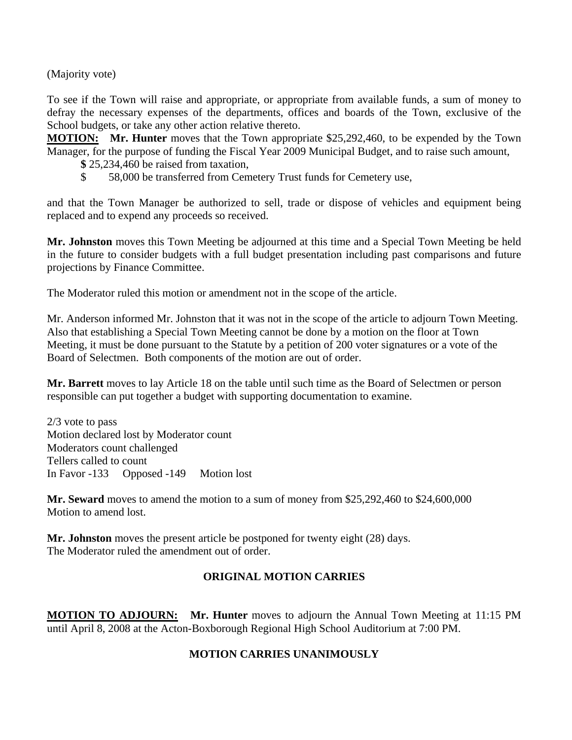(Majority vote)

To see if the Town will raise and appropriate, or appropriate from available funds, a sum of money to defray the necessary expenses of the departments, offices and boards of the Town, exclusive of the School budgets, or take any other action relative thereto.

**MOTION:** Mr. Hunter moves that the Town appropriate \$25,292,460, to be expended by the Town Manager, for the purpose of funding the Fiscal Year 2009 Municipal Budget, and to raise such amount,

- **\$** 25,234,460 be raised from taxation,
- \$ 58,000 be transferred from Cemetery Trust funds for Cemetery use,

and that the Town Manager be authorized to sell, trade or dispose of vehicles and equipment being replaced and to expend any proceeds so received.

**Mr. Johnston** moves this Town Meeting be adjourned at this time and a Special Town Meeting be held in the future to consider budgets with a full budget presentation including past comparisons and future projections by Finance Committee.

The Moderator ruled this motion or amendment not in the scope of the article.

Mr. Anderson informed Mr. Johnston that it was not in the scope of the article to adjourn Town Meeting. Also that establishing a Special Town Meeting cannot be done by a motion on the floor at Town Meeting, it must be done pursuant to the Statute by a petition of 200 voter signatures or a vote of the Board of Selectmen. Both components of the motion are out of order.

**Mr. Barrett** moves to lay Article 18 on the table until such time as the Board of Selectmen or person responsible can put together a budget with supporting documentation to examine.

2/3 vote to pass Motion declared lost by Moderator count Moderators count challenged Tellers called to count In Favor -133 Opposed -149 Motion lost

**Mr. Seward** moves to amend the motion to a sum of money from \$25,292,460 to \$24,600,000 Motion to amend lost.

**Mr. Johnston** moves the present article be postponed for twenty eight (28) days. The Moderator ruled the amendment out of order.

# **ORIGINAL MOTION CARRIES**

**MOTION TO ADJOURN: Mr. Hunter** moves to adjourn the Annual Town Meeting at 11:15 PM until April 8, 2008 at the Acton-Boxborough Regional High School Auditorium at 7:00 PM.

# **MOTION CARRIES UNANIMOUSLY**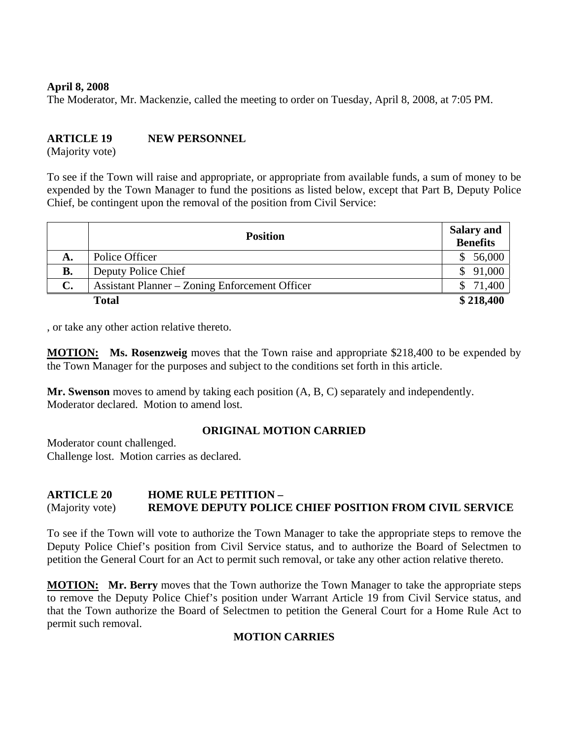#### **April 8, 2008**

The Moderator, Mr. Mackenzie, called the meeting to order on Tuesday, April 8, 2008, at 7:05 PM.

# **ARTICLE 19 NEW PERSONNEL**

(Majority vote)

To see if the Town will raise and appropriate, or appropriate from available funds, a sum of money to be expended by the Town Manager to fund the positions as listed below, except that Part B, Deputy Police Chief, be contingent upon the removal of the position from Civil Service:

|           | <b>Position</b>                                       | <b>Salary and</b><br><b>Benefits</b> |
|-----------|-------------------------------------------------------|--------------------------------------|
| А.        | Police Officer                                        | 56,000                               |
| <b>B.</b> | Deputy Police Chief                                   | 91,000                               |
| C.        | <b>Assistant Planner – Zoning Enforcement Officer</b> | 71,400                               |
|           | <b>Total</b>                                          | \$218,400                            |

, or take any other action relative thereto.

**MOTION: Ms. Rosenzweig** moves that the Town raise and appropriate \$218,400 to be expended by the Town Manager for the purposes and subject to the conditions set forth in this article.

**Mr. Swenson** moves to amend by taking each position (A, B, C) separately and independently. Moderator declared. Motion to amend lost.

#### **ORIGINAL MOTION CARRIED**

Moderator count challenged. Challenge lost. Motion carries as declared.

#### **ARTICLE 20 HOME RULE PETITION –**  (Majority vote) **REMOVE DEPUTY POLICE CHIEF POSITION FROM CIVIL SERVICE**

To see if the Town will vote to authorize the Town Manager to take the appropriate steps to remove the Deputy Police Chief's position from Civil Service status, and to authorize the Board of Selectmen to petition the General Court for an Act to permit such removal, or take any other action relative thereto.

**MOTION: Mr. Berry** moves that the Town authorize the Town Manager to take the appropriate steps to remove the Deputy Police Chief's position under Warrant Article 19 from Civil Service status, and that the Town authorize the Board of Selectmen to petition the General Court for a Home Rule Act to permit such removal.

# **MOTION CARRIES**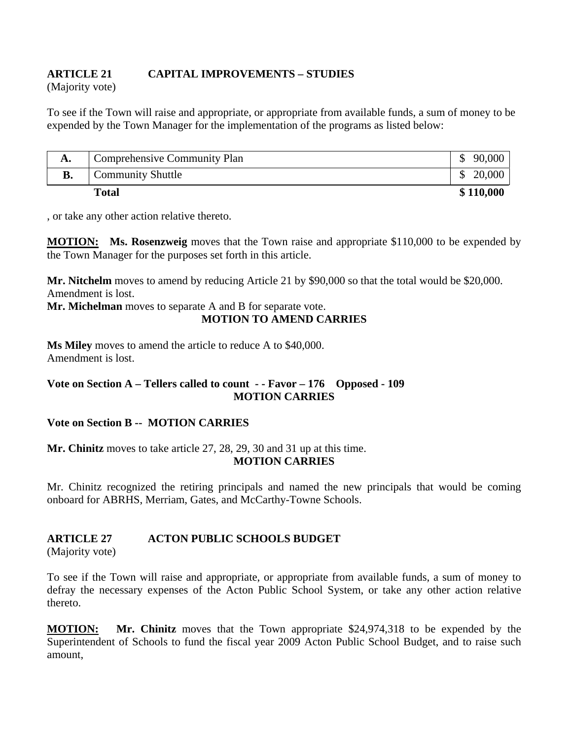# **ARTICLE 21 CAPITAL IMPROVEMENTS – STUDIES**

(Majority vote)

To see if the Town will raise and appropriate, or appropriate from available funds, a sum of money to be expended by the Town Manager for the implementation of the programs as listed below:

| А.        | Comprehensive Community Plan | 90,000    |
|-----------|------------------------------|-----------|
| <b>B.</b> | <b>Community Shuttle</b>     | 20,000    |
|           | Total                        | \$110,000 |

, or take any other action relative thereto.

**MOTION: Ms. Rosenzweig** moves that the Town raise and appropriate \$110,000 to be expended by the Town Manager for the purposes set forth in this article.

**Mr. Nitchelm** moves to amend by reducing Article 21 by \$90,000 so that the total would be \$20,000. Amendment is lost.

**Mr. Michelman** moves to separate A and B for separate vote. **MOTION TO AMEND CARRIES** 

**Ms Miley** moves to amend the article to reduce A to \$40,000. Amendment is lost.

# **Vote on Section A – Tellers called to count - - Favor – 176 Opposed - 109 MOTION CARRIES**

# **Vote on Section B -- MOTION CARRIES**

**Mr. Chinitz** moves to take article 27, 28, 29, 30 and 31 up at this time.

**MOTION CARRIES** 

Mr. Chinitz recognized the retiring principals and named the new principals that would be coming onboard for ABRHS, Merriam, Gates, and McCarthy-Towne Schools.

# **ARTICLE 27 ACTON PUBLIC SCHOOLS BUDGET**

(Majority vote)

To see if the Town will raise and appropriate, or appropriate from available funds, a sum of money to defray the necessary expenses of the Acton Public School System, or take any other action relative thereto.

**MOTION: Mr. Chinitz** moves that the Town appropriate \$24,974,318 to be expended by the Superintendent of Schools to fund the fiscal year 2009 Acton Public School Budget, and to raise such amount,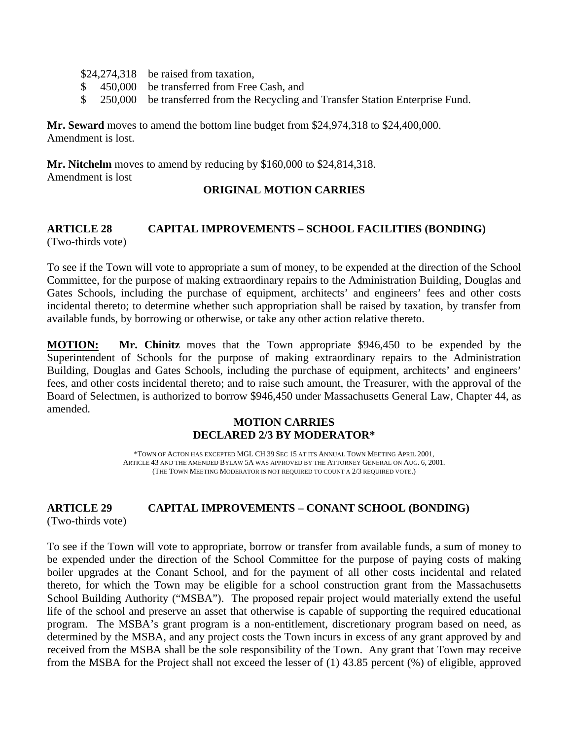\$24,274,318 be raised from taxation,

- \$ 450,000 be transferred from Free Cash, and
- \$ 250,000 be transferred from the Recycling and Transfer Station Enterprise Fund.

**Mr. Seward** moves to amend the bottom line budget from \$24,974,318 to \$24,400,000. Amendment is lost.

**Mr. Nitchelm** moves to amend by reducing by \$160,000 to \$24,814,318. Amendment is lost

### **ORIGINAL MOTION CARRIES**

### **ARTICLE 28 CAPITAL IMPROVEMENTS – SCHOOL FACILITIES (BONDING)**  (Two-thirds vote)

To see if the Town will vote to appropriate a sum of money, to be expended at the direction of the School Committee, for the purpose of making extraordinary repairs to the Administration Building, Douglas and Gates Schools, including the purchase of equipment, architects' and engineers' fees and other costs incidental thereto; to determine whether such appropriation shall be raised by taxation, by transfer from available funds, by borrowing or otherwise, or take any other action relative thereto.

**MOTION: Mr. Chinitz** moves that the Town appropriate \$946,450 to be expended by the Superintendent of Schools for the purpose of making extraordinary repairs to the Administration Building, Douglas and Gates Schools, including the purchase of equipment, architects' and engineers' fees, and other costs incidental thereto; and to raise such amount, the Treasurer, with the approval of the Board of Selectmen, is authorized to borrow \$946,450 under Massachusetts General Law, Chapter 44, as amended.

### **MOTION CARRIES DECLARED 2/3 BY MODERATOR\***

\*TOWN OF ACTON HAS EXCEPTED MGL CH 39 SEC 15 AT ITS ANNUAL TOWN MEETING APRIL 2001, ARTICLE 43 AND THE AMENDED BYLAW 5A WAS APPROVED BY THE ATTORNEY GENERAL ON AUG. 6, 2001. (THE TOWN MEETING MODERATOR IS NOT REQUIRED TO COUNT A 2/3 REQUIRED VOTE.)

# **ARTICLE 29 CAPITAL IMPROVEMENTS – CONANT SCHOOL (BONDING)**

(Two-thirds vote)

To see if the Town will vote to appropriate, borrow or transfer from available funds, a sum of money to be expended under the direction of the School Committee for the purpose of paying costs of making boiler upgrades at the Conant School, and for the payment of all other costs incidental and related thereto, for which the Town may be eligible for a school construction grant from the Massachusetts School Building Authority ("MSBA"). The proposed repair project would materially extend the useful life of the school and preserve an asset that otherwise is capable of supporting the required educational program. The MSBA's grant program is a non-entitlement, discretionary program based on need, as determined by the MSBA, and any project costs the Town incurs in excess of any grant approved by and received from the MSBA shall be the sole responsibility of the Town. Any grant that Town may receive from the MSBA for the Project shall not exceed the lesser of (1) 43.85 percent (%) of eligible, approved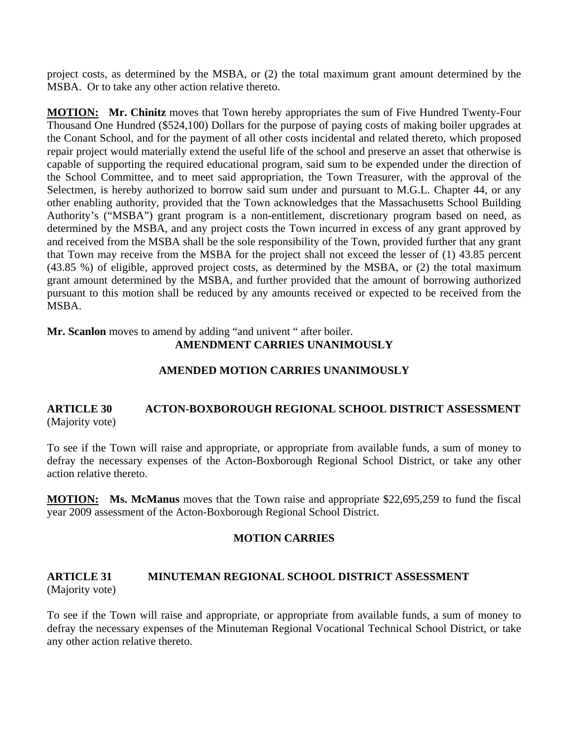project costs, as determined by the MSBA, or (2) the total maximum grant amount determined by the MSBA. Or to take any other action relative thereto.

**MOTION:** Mr. Chinitz moves that Town hereby appropriates the sum of Five Hundred Twenty-Four Thousand One Hundred (\$524,100) Dollars for the purpose of paying costs of making boiler upgrades at the Conant School, and for the payment of all other costs incidental and related thereto, which proposed repair project would materially extend the useful life of the school and preserve an asset that otherwise is capable of supporting the required educational program, said sum to be expended under the direction of the School Committee, and to meet said appropriation, the Town Treasurer, with the approval of the Selectmen, is hereby authorized to borrow said sum under and pursuant to M.G.L. Chapter 44, or any other enabling authority, provided that the Town acknowledges that the Massachusetts School Building Authority's ("MSBA") grant program is a non-entitlement, discretionary program based on need, as determined by the MSBA, and any project costs the Town incurred in excess of any grant approved by and received from the MSBA shall be the sole responsibility of the Town, provided further that any grant that Town may receive from the MSBA for the project shall not exceed the lesser of (1) 43.85 percent (43.85 %) of eligible, approved project costs, as determined by the MSBA, or (2) the total maximum grant amount determined by the MSBA, and further provided that the amount of borrowing authorized pursuant to this motion shall be reduced by any amounts received or expected to be received from the MSBA.

**Mr. Scanlon** moves to amend by adding "and univent " after boiler. **AMENDMENT CARRIES UNANIMOUSLY** 

#### **AMENDED MOTION CARRIES UNANIMOUSLY**

#### **ARTICLE 30 ACTON-BOXBOROUGH REGIONAL SCHOOL DISTRICT ASSESSMENT**  (Majority vote)

To see if the Town will raise and appropriate, or appropriate from available funds, a sum of money to defray the necessary expenses of the Acton-Boxborough Regional School District, or take any other action relative thereto.

**MOTION: Ms. McManus** moves that the Town raise and appropriate \$22,695,259 to fund the fiscal year 2009 assessment of the Acton-Boxborough Regional School District.

#### **MOTION CARRIES**

#### **ARTICLE 31 MINUTEMAN REGIONAL SCHOOL DISTRICT ASSESSMENT**  (Majority vote)

To see if the Town will raise and appropriate, or appropriate from available funds, a sum of money to defray the necessary expenses of the Minuteman Regional Vocational Technical School District, or take any other action relative thereto.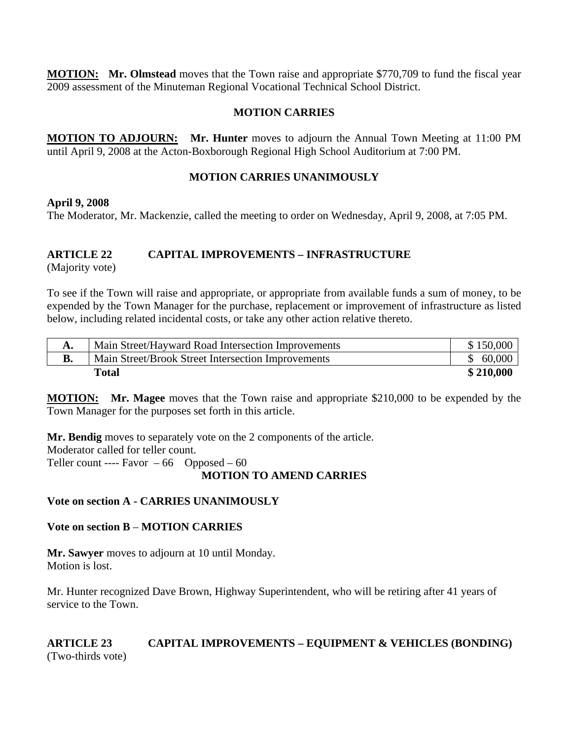**MOTION: Mr. Olmstead** moves that the Town raise and appropriate \$770,709 to fund the fiscal year 2009 assessment of the Minuteman Regional Vocational Technical School District.

### **MOTION CARRIES**

**MOTION TO ADJOURN: Mr. Hunter** moves to adjourn the Annual Town Meeting at 11:00 PM until April 9, 2008 at the Acton-Boxborough Regional High School Auditorium at 7:00 PM.

### **MOTION CARRIES UNANIMOUSLY**

**April 9, 2008** 

The Moderator, Mr. Mackenzie, called the meeting to order on Wednesday, April 9, 2008, at 7:05 PM.

### **ARTICLE 22 CAPITAL IMPROVEMENTS – INFRASTRUCTURE**

(Majority vote)

To see if the Town will raise and appropriate, or appropriate from available funds a sum of money, to be expended by the Town Manager for the purchase, replacement or improvement of infrastructure as listed below, including related incidental costs, or take any other action relative thereto.

| А.        | Main Street/Hayward Road Intersection Improvements | \$150,000 |
|-----------|----------------------------------------------------|-----------|
| <b>B.</b> | Main Street/Brook Street Intersection Improvements | \$60,000  |
|           | Total                                              | \$210,000 |

**MOTION: Mr. Magee** moves that the Town raise and appropriate \$210,000 to be expended by the Town Manager for the purposes set forth in this article.

**Mr. Bendig** moves to separately vote on the 2 components of the article. Moderator called for teller count. Teller count ---- Favor  $-66$  Opposed  $-60$ 

# **MOTION TO AMEND CARRIES**

# **Vote on section A - CARRIES UNANIMOUSLY**

#### **Vote on section B** – **MOTION CARRIES**

**Mr. Sawyer** moves to adjourn at 10 until Monday. Motion is lost.

Mr. Hunter recognized Dave Brown, Highway Superintendent, who will be retiring after 41 years of service to the Town.

### **ARTICLE 23 CAPITAL IMPROVEMENTS – EQUIPMENT & VEHICLES (BONDING)**  (Two-thirds vote)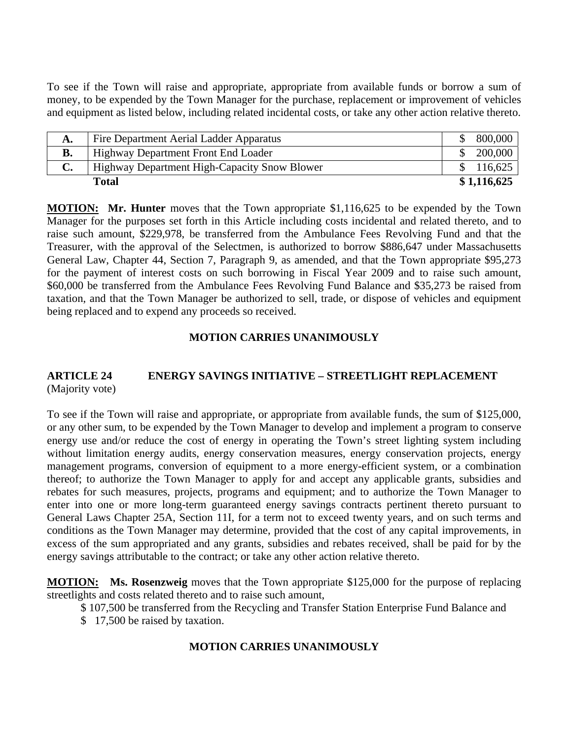To see if the Town will raise and appropriate, appropriate from available funds or borrow a sum of money, to be expended by the Town Manager for the purchase, replacement or improvement of vehicles and equipment as listed below, including related incidental costs, or take any other action relative thereto.

| А.        | Fire Department Aerial Ladder Apparatus      | 800,000     |
|-----------|----------------------------------------------|-------------|
| <b>B.</b> | Highway Department Front End Loader          | 200,000     |
| C.        | Highway Department High-Capacity Snow Blower | \$116,625   |
|           | Total                                        | \$1,116,625 |

**MOTION: Mr. Hunter** moves that the Town appropriate \$1,116,625 to be expended by the Town Manager for the purposes set forth in this Article including costs incidental and related thereto, and to raise such amount, \$229,978, be transferred from the Ambulance Fees Revolving Fund and that the Treasurer, with the approval of the Selectmen, is authorized to borrow \$886,647 under Massachusetts General Law, Chapter 44, Section 7, Paragraph 9, as amended, and that the Town appropriate \$95,273 for the payment of interest costs on such borrowing in Fiscal Year 2009 and to raise such amount, \$60,000 be transferred from the Ambulance Fees Revolving Fund Balance and \$35,273 be raised from taxation, and that the Town Manager be authorized to sell, trade, or dispose of vehicles and equipment being replaced and to expend any proceeds so received.

#### **MOTION CARRIES UNANIMOUSLY**

#### **ARTICLE 24 ENERGY SAVINGS INITIATIVE – STREETLIGHT REPLACEMENT**  (Majority vote)

To see if the Town will raise and appropriate, or appropriate from available funds, the sum of \$125,000, or any other sum, to be expended by the Town Manager to develop and implement a program to conserve energy use and/or reduce the cost of energy in operating the Town's street lighting system including without limitation energy audits, energy conservation measures, energy conservation projects, energy management programs, conversion of equipment to a more energy-efficient system, or a combination thereof; to authorize the Town Manager to apply for and accept any applicable grants, subsidies and rebates for such measures, projects, programs and equipment; and to authorize the Town Manager to enter into one or more long-term guaranteed energy savings contracts pertinent thereto pursuant to General Laws Chapter 25A, Section 11I, for a term not to exceed twenty years, and on such terms and conditions as the Town Manager may determine, provided that the cost of any capital improvements, in excess of the sum appropriated and any grants, subsidies and rebates received, shall be paid for by the energy savings attributable to the contract; or take any other action relative thereto.

**MOTION: Ms. Rosenzweig** moves that the Town appropriate \$125,000 for the purpose of replacing streetlights and costs related thereto and to raise such amount,

- \$ 107,500 be transferred from the Recycling and Transfer Station Enterprise Fund Balance and
- \$ 17,500 be raised by taxation.

#### **MOTION CARRIES UNANIMOUSLY**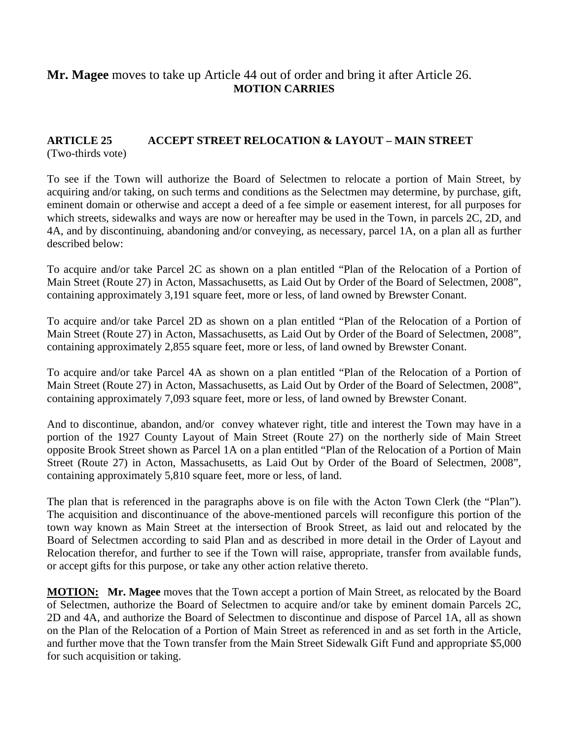# **Mr. Magee** moves to take up Article 44 out of order and bring it after Article 26. **MOTION CARRIES**

#### **ARTICLE 25 ACCEPT STREET RELOCATION & LAYOUT – MAIN STREET**  (Two-thirds vote)

To see if the Town will authorize the Board of Selectmen to relocate a portion of Main Street, by acquiring and/or taking, on such terms and conditions as the Selectmen may determine, by purchase, gift, eminent domain or otherwise and accept a deed of a fee simple or easement interest, for all purposes for which streets, sidewalks and ways are now or hereafter may be used in the Town, in parcels 2C, 2D, and 4A, and by discontinuing, abandoning and/or conveying, as necessary, parcel 1A, on a plan all as further described below:

To acquire and/or take Parcel 2C as shown on a plan entitled "Plan of the Relocation of a Portion of Main Street (Route 27) in Acton, Massachusetts, as Laid Out by Order of the Board of Selectmen, 2008", containing approximately 3,191 square feet, more or less, of land owned by Brewster Conant.

To acquire and/or take Parcel 2D as shown on a plan entitled "Plan of the Relocation of a Portion of Main Street (Route 27) in Acton, Massachusetts, as Laid Out by Order of the Board of Selectmen, 2008", containing approximately 2,855 square feet, more or less, of land owned by Brewster Conant.

To acquire and/or take Parcel 4A as shown on a plan entitled "Plan of the Relocation of a Portion of Main Street (Route 27) in Acton, Massachusetts, as Laid Out by Order of the Board of Selectmen, 2008", containing approximately 7,093 square feet, more or less, of land owned by Brewster Conant.

And to discontinue, abandon, and/or convey whatever right, title and interest the Town may have in a portion of the 1927 County Layout of Main Street (Route 27) on the northerly side of Main Street opposite Brook Street shown as Parcel 1A on a plan entitled "Plan of the Relocation of a Portion of Main Street (Route 27) in Acton, Massachusetts, as Laid Out by Order of the Board of Selectmen, 2008", containing approximately 5,810 square feet, more or less, of land.

The plan that is referenced in the paragraphs above is on file with the Acton Town Clerk (the "Plan"). The acquisition and discontinuance of the above-mentioned parcels will reconfigure this portion of the town way known as Main Street at the intersection of Brook Street, as laid out and relocated by the Board of Selectmen according to said Plan and as described in more detail in the Order of Layout and Relocation therefor, and further to see if the Town will raise, appropriate, transfer from available funds, or accept gifts for this purpose, or take any other action relative thereto.

**MOTION: Mr. Magee** moves that the Town accept a portion of Main Street, as relocated by the Board of Selectmen, authorize the Board of Selectmen to acquire and/or take by eminent domain Parcels 2C, 2D and 4A, and authorize the Board of Selectmen to discontinue and dispose of Parcel 1A, all as shown on the Plan of the Relocation of a Portion of Main Street as referenced in and as set forth in the Article, and further move that the Town transfer from the Main Street Sidewalk Gift Fund and appropriate \$5,000 for such acquisition or taking.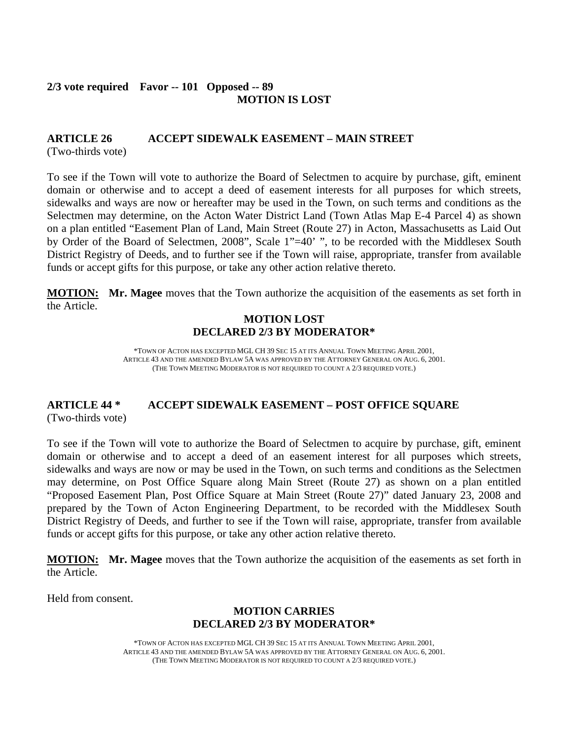#### **2/3 vote required Favor -- 101 Opposed -- 89 MOTION IS LOST**

# **ARTICLE 26 ACCEPT SIDEWALK EASEMENT – MAIN STREET**

(Two-thirds vote)

To see if the Town will vote to authorize the Board of Selectmen to acquire by purchase, gift, eminent domain or otherwise and to accept a deed of easement interests for all purposes for which streets, sidewalks and ways are now or hereafter may be used in the Town, on such terms and conditions as the Selectmen may determine, on the Acton Water District Land (Town Atlas Map E-4 Parcel 4) as shown on a plan entitled "Easement Plan of Land, Main Street (Route 27) in Acton, Massachusetts as Laid Out by Order of the Board of Selectmen, 2008", Scale 1"=40' ", to be recorded with the Middlesex South District Registry of Deeds, and to further see if the Town will raise, appropriate, transfer from available funds or accept gifts for this purpose, or take any other action relative thereto.

**MOTION: Mr. Magee** moves that the Town authorize the acquisition of the easements as set forth in the Article.

# **MOTION LOST DECLARED 2/3 BY MODERATOR\***

\*TOWN OF ACTON HAS EXCEPTED MGL CH 39 SEC 15 AT ITS ANNUAL TOWN MEETING APRIL 2001, ARTICLE 43 AND THE AMENDED BYLAW 5A WAS APPROVED BY THE ATTORNEY GENERAL ON AUG. 6, 2001. (THE TOWN MEETING MODERATOR IS NOT REQUIRED TO COUNT A 2/3 REQUIRED VOTE.)

### **ARTICLE 44 \* ACCEPT SIDEWALK EASEMENT – POST OFFICE SQUARE**  (Two-thirds vote)

To see if the Town will vote to authorize the Board of Selectmen to acquire by purchase, gift, eminent domain or otherwise and to accept a deed of an easement interest for all purposes which streets, sidewalks and ways are now or may be used in the Town, on such terms and conditions as the Selectmen may determine, on Post Office Square along Main Street (Route 27) as shown on a plan entitled "Proposed Easement Plan, Post Office Square at Main Street (Route 27)" dated January 23, 2008 and prepared by the Town of Acton Engineering Department, to be recorded with the Middlesex South District Registry of Deeds, and further to see if the Town will raise, appropriate, transfer from available funds or accept gifts for this purpose, or take any other action relative thereto.

**MOTION: Mr. Magee** moves that the Town authorize the acquisition of the easements as set forth in the Article.

Held from consent.

### **MOTION CARRIES DECLARED 2/3 BY MODERATOR\***

\*TOWN OF ACTON HAS EXCEPTED MGL CH 39 SEC 15 AT ITS ANNUAL TOWN MEETING APRIL 2001, ARTICLE 43 AND THE AMENDED BYLAW 5A WAS APPROVED BY THE ATTORNEY GENERAL ON AUG. 6, 2001. (THE TOWN MEETING MODERATOR IS NOT REQUIRED TO COUNT A 2/3 REQUIRED VOTE.)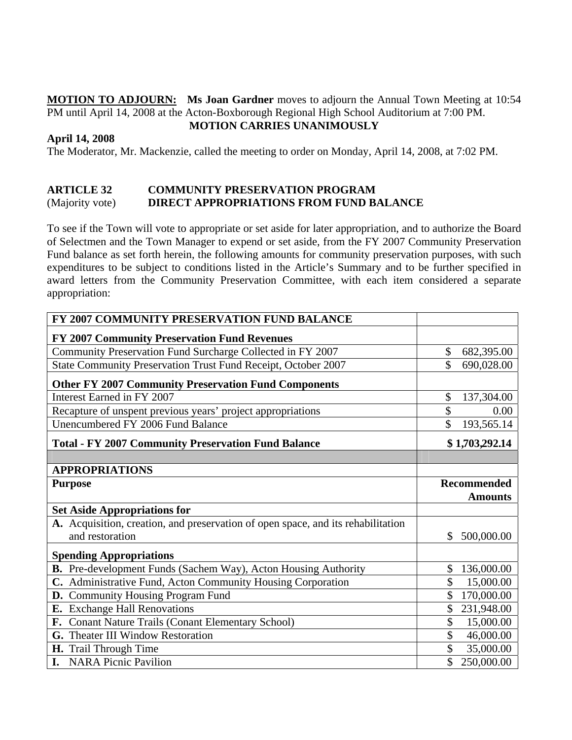**MOTION TO ADJOURN: Ms Joan Gardner** moves to adjourn the Annual Town Meeting at 10:54 PM until April 14, 2008 at the Acton-Boxborough Regional High School Auditorium at 7:00 PM. **MOTION CARRIES UNANIMOUSLY**

#### **April 14, 2008**

The Moderator, Mr. Mackenzie, called the meeting to order on Monday, April 14, 2008, at 7:02 PM.

### **ARTICLE 32 COMMUNITY PRESERVATION PROGRAM** (Majority vote) **DIRECT APPROPRIATIONS FROM FUND BALANCE**

To see if the Town will vote to appropriate or set aside for later appropriation, and to authorize the Board of Selectmen and the Town Manager to expend or set aside, from the FY 2007 Community Preservation Fund balance as set forth herein, the following amounts for community preservation purposes, with such expenditures to be subject to conditions listed in the Article's Summary and to be further specified in award letters from the Community Preservation Committee, with each item considered a separate appropriation:

| FY 2007 COMMUNITY PRESERVATION FUND BALANCE                                      |                  |  |  |  |
|----------------------------------------------------------------------------------|------------------|--|--|--|
| FY 2007 Community Preservation Fund Revenues                                     |                  |  |  |  |
| Community Preservation Fund Surcharge Collected in FY 2007                       | \$<br>682,395.00 |  |  |  |
| State Community Preservation Trust Fund Receipt, October 2007                    | \$<br>690,028.00 |  |  |  |
| <b>Other FY 2007 Community Preservation Fund Components</b>                      |                  |  |  |  |
| Interest Earned in FY 2007                                                       | \$<br>137,304.00 |  |  |  |
| Recapture of unspent previous years' project appropriations                      | \$<br>0.00       |  |  |  |
| Unencumbered FY 2006 Fund Balance                                                | \$<br>193,565.14 |  |  |  |
| <b>Total - FY 2007 Community Preservation Fund Balance</b>                       | \$1,703,292.14   |  |  |  |
|                                                                                  |                  |  |  |  |
| <b>APPROPRIATIONS</b>                                                            |                  |  |  |  |
| <b>Purpose</b>                                                                   | Recommended      |  |  |  |
|                                                                                  |                  |  |  |  |
|                                                                                  | <b>Amounts</b>   |  |  |  |
| <b>Set Aside Appropriations for</b>                                              |                  |  |  |  |
| A. Acquisition, creation, and preservation of open space, and its rehabilitation |                  |  |  |  |
| and restoration                                                                  | \$<br>500,000.00 |  |  |  |
| <b>Spending Appropriations</b>                                                   |                  |  |  |  |
| B. Pre-development Funds (Sachem Way), Acton Housing Authority                   | 136,000.00<br>\$ |  |  |  |
| C. Administrative Fund, Acton Community Housing Corporation                      | \$<br>15,000.00  |  |  |  |
| D. Community Housing Program Fund                                                | \$<br>170,000.00 |  |  |  |
| E. Exchange Hall Renovations                                                     | 231,948.00       |  |  |  |
| F. Conant Nature Trails (Conant Elementary School)                               | \$<br>15,000.00  |  |  |  |
| G. Theater III Window Restoration                                                | \$<br>46,000.00  |  |  |  |
| <b>H.</b> Trail Through Time                                                     | \$<br>35,000.00  |  |  |  |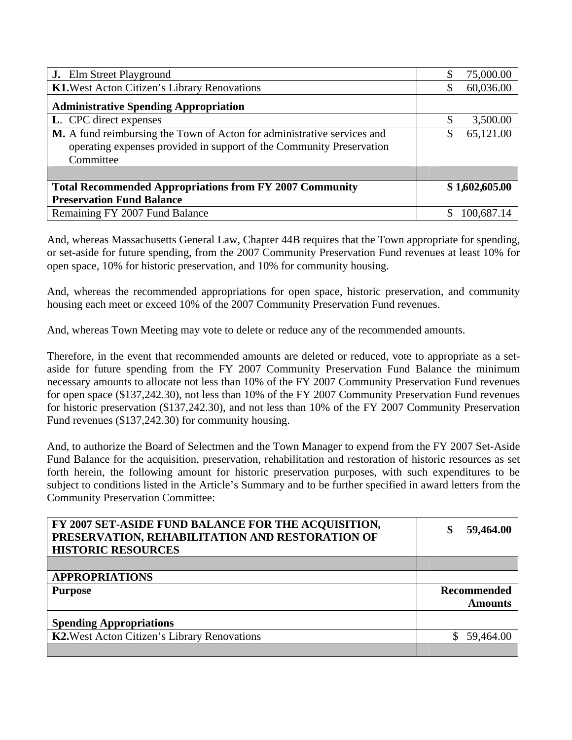| <b>J.</b> Elm Street Playground                                                                                                                              | \$ | 75,000.00      |
|--------------------------------------------------------------------------------------------------------------------------------------------------------------|----|----------------|
| K1. West Acton Citizen's Library Renovations                                                                                                                 | S  | 60,036.00      |
| <b>Administrative Spending Appropriation</b>                                                                                                                 |    |                |
| L. CPC direct expenses                                                                                                                                       | \$ | 3,500.00       |
| M. A fund reimbursing the Town of Acton for administrative services and<br>operating expenses provided in support of the Community Preservation<br>Committee | S  | 65,121.00      |
|                                                                                                                                                              |    |                |
| <b>Total Recommended Appropriations from FY 2007 Community</b>                                                                                               |    | \$1,602,605.00 |
| <b>Preservation Fund Balance</b>                                                                                                                             |    |                |
| Remaining FY 2007 Fund Balance                                                                                                                               |    | 100,687.14     |

And, whereas Massachusetts General Law, Chapter 44B requires that the Town appropriate for spending, or set-aside for future spending, from the 2007 Community Preservation Fund revenues at least 10% for open space, 10% for historic preservation, and 10% for community housing.

And, whereas the recommended appropriations for open space, historic preservation, and community housing each meet or exceed 10% of the 2007 Community Preservation Fund revenues.

And, whereas Town Meeting may vote to delete or reduce any of the recommended amounts.

Therefore, in the event that recommended amounts are deleted or reduced, vote to appropriate as a setaside for future spending from the FY 2007 Community Preservation Fund Balance the minimum necessary amounts to allocate not less than 10% of the FY 2007 Community Preservation Fund revenues for open space (\$137,242.30), not less than 10% of the FY 2007 Community Preservation Fund revenues for historic preservation (\$137,242.30), and not less than 10% of the FY 2007 Community Preservation Fund revenues (\$137,242.30) for community housing.

And, to authorize the Board of Selectmen and the Town Manager to expend from the FY 2007 Set-Aside Fund Balance for the acquisition, preservation, rehabilitation and restoration of historic resources as set forth herein, the following amount for historic preservation purposes, with such expenditures to be subject to conditions listed in the Article's Summary and to be further specified in award letters from the Community Preservation Committee:

| FY 2007 SET-ASIDE FUND BALANCE FOR THE ACQUISITION,<br>PRESERVATION, REHABILITATION AND RESTORATION OF<br><b>HISTORIC RESOURCES</b> | 59,464.00<br>\$    |
|-------------------------------------------------------------------------------------------------------------------------------------|--------------------|
|                                                                                                                                     |                    |
| <b>APPROPRIATIONS</b>                                                                                                               |                    |
|                                                                                                                                     |                    |
| <b>Purpose</b>                                                                                                                      | <b>Recommended</b> |
|                                                                                                                                     | <b>Amounts</b>     |
| <b>Spending Appropriations</b>                                                                                                      |                    |
| K2. West Acton Citizen's Library Renovations                                                                                        | 59,464.00          |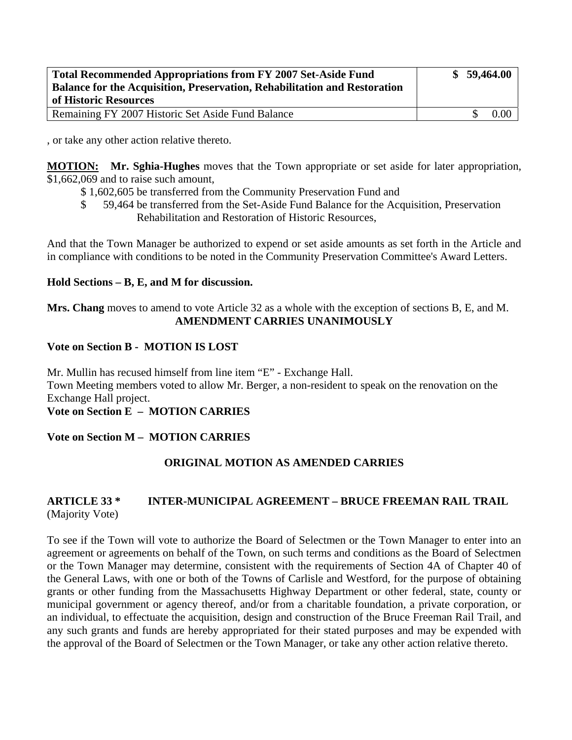| <b>Total Recommended Appropriations from FY 2007 Set-Aside Fund</b><br><b>Balance for the Acquisition, Preservation, Rehabilitation and Restoration</b> |  | \$59,464.00 |
|---------------------------------------------------------------------------------------------------------------------------------------------------------|--|-------------|
| of Historic Resources                                                                                                                                   |  |             |
| Remaining FY 2007 Historic Set Aside Fund Balance                                                                                                       |  | $0.00\,$    |

, or take any other action relative thereto.

**MOTION: Mr. Sghia-Hughes** moves that the Town appropriate or set aside for later appropriation, \$1,662,069 and to raise such amount,

- \$ 1,602,605 be transferred from the Community Preservation Fund and
- \$ 59,464 be transferred from the Set-Aside Fund Balance for the Acquisition, Preservation Rehabilitation and Restoration of Historic Resources,

And that the Town Manager be authorized to expend or set aside amounts as set forth in the Article and in compliance with conditions to be noted in the Community Preservation Committee's Award Letters.

### **Hold Sections – B, E, and M for discussion.**

**Mrs. Chang** moves to amend to vote Article 32 as a whole with the exception of sections B, E, and M. **AMENDMENT CARRIES UNANIMOUSLY** 

### **Vote on Section B - MOTION IS LOST**

Mr. Mullin has recused himself from line item "E" - Exchange Hall. Town Meeting members voted to allow Mr. Berger, a non-resident to speak on the renovation on the Exchange Hall project.

# **Vote on Section E – MOTION CARRIES**

# **Vote on Section M – MOTION CARRIES**

# **ORIGINAL MOTION AS AMENDED CARRIES**

# **ARTICLE 33 \* INTER-MUNICIPAL AGREEMENT – BRUCE FREEMAN RAIL TRAIL** (Majority Vote)

To see if the Town will vote to authorize the Board of Selectmen or the Town Manager to enter into an agreement or agreements on behalf of the Town, on such terms and conditions as the Board of Selectmen or the Town Manager may determine, consistent with the requirements of Section 4A of Chapter 40 of the General Laws, with one or both of the Towns of Carlisle and Westford, for the purpose of obtaining grants or other funding from the Massachusetts Highway Department or other federal, state, county or municipal government or agency thereof, and/or from a charitable foundation, a private corporation, or an individual, to effectuate the acquisition, design and construction of the Bruce Freeman Rail Trail, and any such grants and funds are hereby appropriated for their stated purposes and may be expended with the approval of the Board of Selectmen or the Town Manager, or take any other action relative thereto.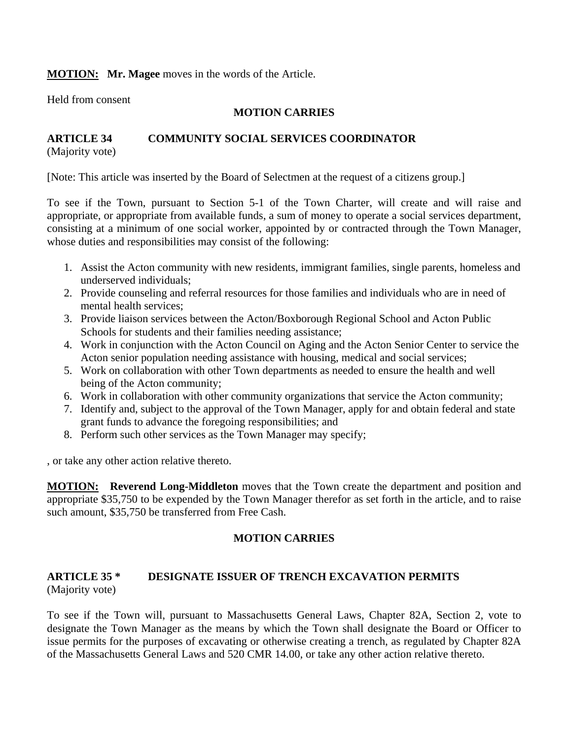# **MOTION: Mr. Magee** moves in the words of the Article.

Held from consent

# **MOTION CARRIES**

# **ARTICLE 34 COMMUNITY SOCIAL SERVICES COORDINATOR**

(Majority vote)

[Note: This article was inserted by the Board of Selectmen at the request of a citizens group.]

To see if the Town, pursuant to Section 5-1 of the Town Charter, will create and will raise and appropriate, or appropriate from available funds, a sum of money to operate a social services department, consisting at a minimum of one social worker, appointed by or contracted through the Town Manager, whose duties and responsibilities may consist of the following:

- 1. Assist the Acton community with new residents, immigrant families, single parents, homeless and underserved individuals;
- 2. Provide counseling and referral resources for those families and individuals who are in need of mental health services;
- 3. Provide liaison services between the Acton/Boxborough Regional School and Acton Public Schools for students and their families needing assistance;
- 4. Work in conjunction with the Acton Council on Aging and the Acton Senior Center to service the Acton senior population needing assistance with housing, medical and social services;
- 5. Work on collaboration with other Town departments as needed to ensure the health and well being of the Acton community;
- 6. Work in collaboration with other community organizations that service the Acton community;
- 7. Identify and, subject to the approval of the Town Manager, apply for and obtain federal and state grant funds to advance the foregoing responsibilities; and
- 8. Perform such other services as the Town Manager may specify;

, or take any other action relative thereto.

**MOTION: Reverend Long-Middleton** moves that the Town create the department and position and appropriate \$35,750 to be expended by the Town Manager therefor as set forth in the article, and to raise such amount, \$35,750 be transferred from Free Cash.

# **MOTION CARRIES**

# **ARTICLE 35 \* DESIGNATE ISSUER OF TRENCH EXCAVATION PERMITS**  (Majority vote)

To see if the Town will, pursuant to Massachusetts General Laws, Chapter 82A, Section 2, vote to designate the Town Manager as the means by which the Town shall designate the Board or Officer to issue permits for the purposes of excavating or otherwise creating a trench, as regulated by Chapter 82A of the Massachusetts General Laws and 520 CMR 14.00, or take any other action relative thereto.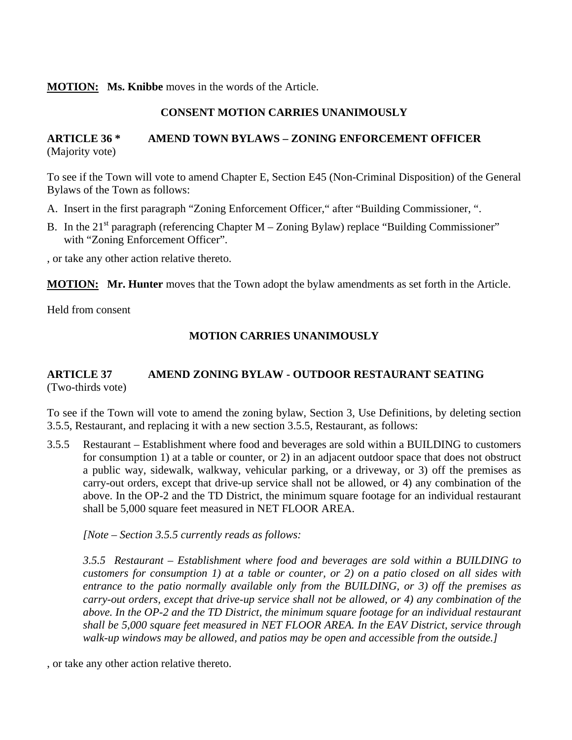#### **MOTION: Ms. Knibbe** moves in the words of the Article.

### **CONSENT MOTION CARRIES UNANIMOUSLY**

# **ARTICLE 36 \* AMEND TOWN BYLAWS – ZONING ENFORCEMENT OFFICER**  (Majority vote)

To see if the Town will vote to amend Chapter E, Section E45 (Non-Criminal Disposition) of the General Bylaws of the Town as follows:

- A. Insert in the first paragraph "Zoning Enforcement Officer," after "Building Commissioner, ".
- B. In the  $21<sup>st</sup>$  paragraph (referencing Chapter M Zoning Bylaw) replace "Building Commissioner" with "Zoning Enforcement Officer".

, or take any other action relative thereto.

**MOTION: Mr. Hunter** moves that the Town adopt the bylaw amendments as set forth in the Article.

Held from consent

### **MOTION CARRIES UNANIMOUSLY**

### **ARTICLE 37 AMEND ZONING BYLAW - OUTDOOR RESTAURANT SEATING**  (Two-thirds vote)

To see if the Town will vote to amend the zoning bylaw, Section 3, Use Definitions, by deleting section 3.5.5, Restaurant, and replacing it with a new section 3.5.5, Restaurant, as follows:

3.5.5 Restaurant – Establishment where food and beverages are sold within a BUILDING to customers for consumption 1) at a table or counter, or 2) in an adjacent outdoor space that does not obstruct a public way, sidewalk, walkway, vehicular parking, or a driveway, or 3) off the premises as carry-out orders, except that drive-up service shall not be allowed, or 4) any combination of the above. In the OP-2 and the TD District, the minimum square footage for an individual restaurant shall be 5,000 square feet measured in NET FLOOR AREA.

*[Note – Section 3.5.5 currently reads as follows:* 

*3.5.5 Restaurant – Establishment where food and beverages are sold within a BUILDING to customers for consumption 1) at a table or counter, or 2) on a patio closed on all sides with entrance to the patio normally available only from the BUILDING, or 3) off the premises as carry-out orders, except that drive-up service shall not be allowed, or 4) any combination of the above. In the OP-2 and the TD District, the minimum square footage for an individual restaurant shall be 5,000 square feet measured in NET FLOOR AREA. In the EAV District, service through walk-up windows may be allowed, and patios may be open and accessible from the outside.]* 

, or take any other action relative thereto.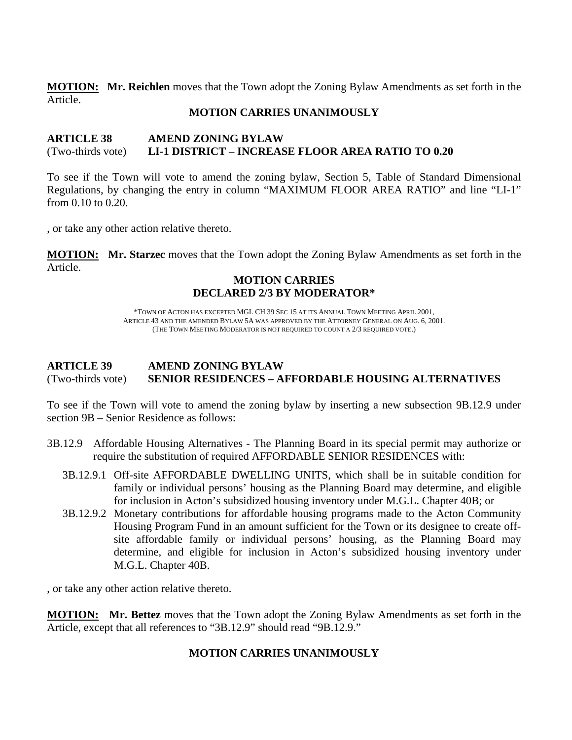**MOTION: Mr. Reichlen** moves that the Town adopt the Zoning Bylaw Amendments as set forth in the Article.

#### **MOTION CARRIES UNANIMOUSLY**

### **ARTICLE 38 AMEND ZONING BYLAW**  (Two-thirds vote) **LI-1 DISTRICT – INCREASE FLOOR AREA RATIO TO 0.20**

To see if the Town will vote to amend the zoning bylaw, Section 5, Table of Standard Dimensional Regulations, by changing the entry in column "MAXIMUM FLOOR AREA RATIO" and line "LI-1" from 0.10 to 0.20.

, or take any other action relative thereto.

**MOTION: Mr. Starzec** moves that the Town adopt the Zoning Bylaw Amendments as set forth in the Article.

# **MOTION CARRIES DECLARED 2/3 BY MODERATOR\***

\*TOWN OF ACTON HAS EXCEPTED MGL CH 39 SEC 15 AT ITS ANNUAL TOWN MEETING APRIL 2001, ARTICLE 43 AND THE AMENDED BYLAW 5A WAS APPROVED BY THE ATTORNEY GENERAL ON AUG. 6, 2001. (THE TOWN MEETING MODERATOR IS NOT REQUIRED TO COUNT A 2/3 REQUIRED VOTE.)

# **ARTICLE 39 AMEND ZONING BYLAW**  (Two-thirds vote) **SENIOR RESIDENCES – AFFORDABLE HOUSING ALTERNATIVES**

To see if the Town will vote to amend the zoning bylaw by inserting a new subsection 9B.12.9 under section 9B – Senior Residence as follows:

- 3B.12.9 Affordable Housing Alternatives The Planning Board in its special permit may authorize or require the substitution of required AFFORDABLE SENIOR RESIDENCES with:
	- 3B.12.9.1 Off-site AFFORDABLE DWELLING UNITS, which shall be in suitable condition for family or individual persons' housing as the Planning Board may determine, and eligible for inclusion in Acton's subsidized housing inventory under M.G.L. Chapter 40B; or
	- 3B.12.9.2 Monetary contributions for affordable housing programs made to the Acton Community Housing Program Fund in an amount sufficient for the Town or its designee to create offsite affordable family or individual persons' housing, as the Planning Board may determine, and eligible for inclusion in Acton's subsidized housing inventory under M.G.L. Chapter 40B.

, or take any other action relative thereto.

**MOTION: Mr. Bettez** moves that the Town adopt the Zoning Bylaw Amendments as set forth in the Article, except that all references to "3B.12.9" should read "9B.12.9."

# **MOTION CARRIES UNANIMOUSLY**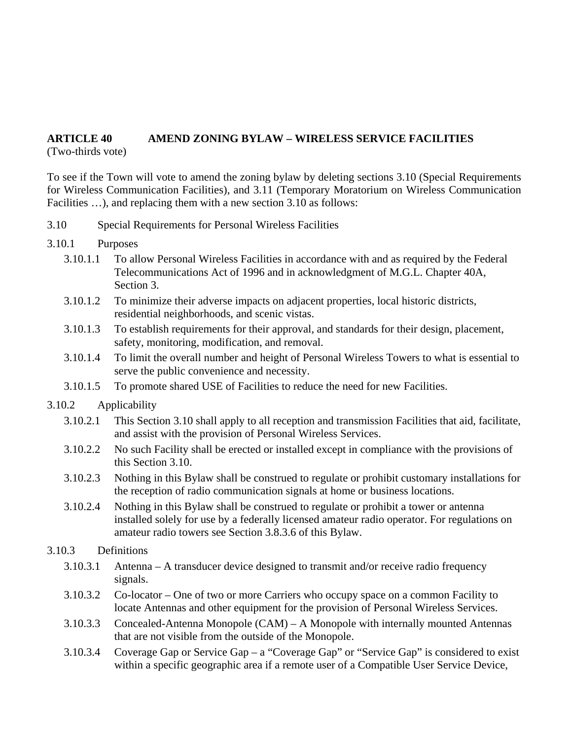# **ARTICLE 40 AMEND ZONING BYLAW – WIRELESS SERVICE FACILITIES**

(Two-thirds vote)

To see if the Town will vote to amend the zoning bylaw by deleting sections 3.10 (Special Requirements for Wireless Communication Facilities), and 3.11 (Temporary Moratorium on Wireless Communication Facilities ...), and replacing them with a new section 3.10 as follows:

- 3.10 Special Requirements for Personal Wireless Facilities
- 3.10.1 Purposes
	- 3.10.1.1 To allow Personal Wireless Facilities in accordance with and as required by the Federal Telecommunications Act of 1996 and in acknowledgment of M.G.L. Chapter 40A, Section 3.
	- 3.10.1.2 To minimize their adverse impacts on adjacent properties, local historic districts, residential neighborhoods, and scenic vistas.
	- 3.10.1.3 To establish requirements for their approval, and standards for their design, placement, safety, monitoring, modification, and removal.
	- 3.10.1.4 To limit the overall number and height of Personal Wireless Towers to what is essential to serve the public convenience and necessity.
	- 3.10.1.5 To promote shared USE of Facilities to reduce the need for new Facilities.
- 3.10.2 Applicability
	- 3.10.2.1 This Section 3.10 shall apply to all reception and transmission Facilities that aid, facilitate, and assist with the provision of Personal Wireless Services.
	- 3.10.2.2 No such Facility shall be erected or installed except in compliance with the provisions of this Section 3.10.
	- 3.10.2.3 Nothing in this Bylaw shall be construed to regulate or prohibit customary installations for the reception of radio communication signals at home or business locations.
	- 3.10.2.4 Nothing in this Bylaw shall be construed to regulate or prohibit a tower or antenna installed solely for use by a federally licensed amateur radio operator. For regulations on amateur radio towers see Section 3.8.3.6 of this Bylaw.

# 3.10.3 Definitions

- 3.10.3.1 Antenna A transducer device designed to transmit and/or receive radio frequency signals.
- 3.10.3.2 Co-locator One of two or more Carriers who occupy space on a common Facility to locate Antennas and other equipment for the provision of Personal Wireless Services.
- 3.10.3.3 Concealed-Antenna Monopole (CAM) A Monopole with internally mounted Antennas that are not visible from the outside of the Monopole.
- 3.10.3.4 Coverage Gap or Service Gap a "Coverage Gap" or "Service Gap" is considered to exist within a specific geographic area if a remote user of a Compatible User Service Device,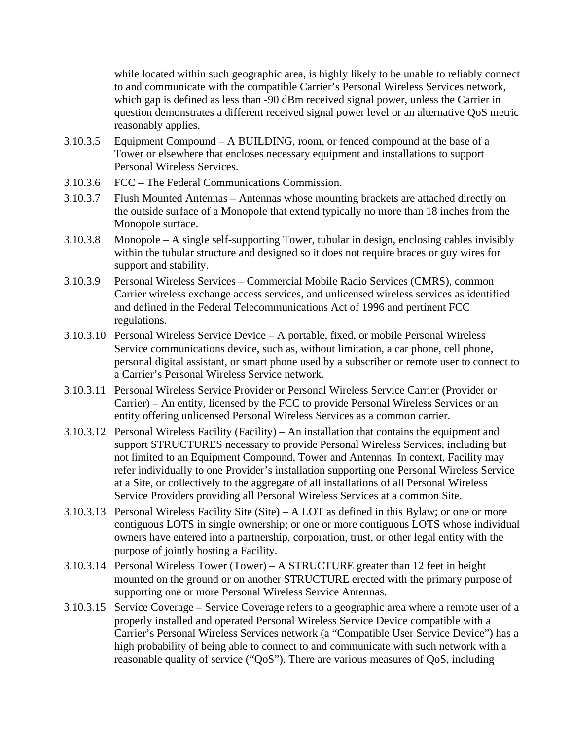while located within such geographic area, is highly likely to be unable to reliably connect to and communicate with the compatible Carrier's Personal Wireless Services network, which gap is defined as less than -90 dBm received signal power, unless the Carrier in question demonstrates a different received signal power level or an alternative QoS metric reasonably applies.

- 3.10.3.5 Equipment Compound A BUILDING, room, or fenced compound at the base of a Tower or elsewhere that encloses necessary equipment and installations to support Personal Wireless Services.
- 3.10.3.6 FCC The Federal Communications Commission.
- 3.10.3.7 Flush Mounted Antennas Antennas whose mounting brackets are attached directly on the outside surface of a Monopole that extend typically no more than 18 inches from the Monopole surface.
- 3.10.3.8 Monopole A single self-supporting Tower, tubular in design, enclosing cables invisibly within the tubular structure and designed so it does not require braces or guy wires for support and stability.
- 3.10.3.9 Personal Wireless Services Commercial Mobile Radio Services (CMRS), common Carrier wireless exchange access services, and unlicensed wireless services as identified and defined in the Federal Telecommunications Act of 1996 and pertinent FCC regulations.
- 3.10.3.10 Personal Wireless Service Device A portable, fixed, or mobile Personal Wireless Service communications device, such as, without limitation, a car phone, cell phone, personal digital assistant, or smart phone used by a subscriber or remote user to connect to a Carrier's Personal Wireless Service network.
- 3.10.3.11 Personal Wireless Service Provider or Personal Wireless Service Carrier (Provider or Carrier) – An entity, licensed by the FCC to provide Personal Wireless Services or an entity offering unlicensed Personal Wireless Services as a common carrier.
- 3.10.3.12 Personal Wireless Facility (Facility) An installation that contains the equipment and support STRUCTURES necessary to provide Personal Wireless Services, including but not limited to an Equipment Compound, Tower and Antennas. In context, Facility may refer individually to one Provider's installation supporting one Personal Wireless Service at a Site, or collectively to the aggregate of all installations of all Personal Wireless Service Providers providing all Personal Wireless Services at a common Site.
- 3.10.3.13 Personal Wireless Facility Site (Site) A LOT as defined in this Bylaw; or one or more contiguous LOTS in single ownership; or one or more contiguous LOTS whose individual owners have entered into a partnership, corporation, trust, or other legal entity with the purpose of jointly hosting a Facility.
- 3.10.3.14 Personal Wireless Tower (Tower) A STRUCTURE greater than 12 feet in height mounted on the ground or on another STRUCTURE erected with the primary purpose of supporting one or more Personal Wireless Service Antennas.
- 3.10.3.15 Service Coverage Service Coverage refers to a geographic area where a remote user of a properly installed and operated Personal Wireless Service Device compatible with a Carrier's Personal Wireless Services network (a "Compatible User Service Device") has a high probability of being able to connect to and communicate with such network with a reasonable quality of service ("QoS"). There are various measures of QoS, including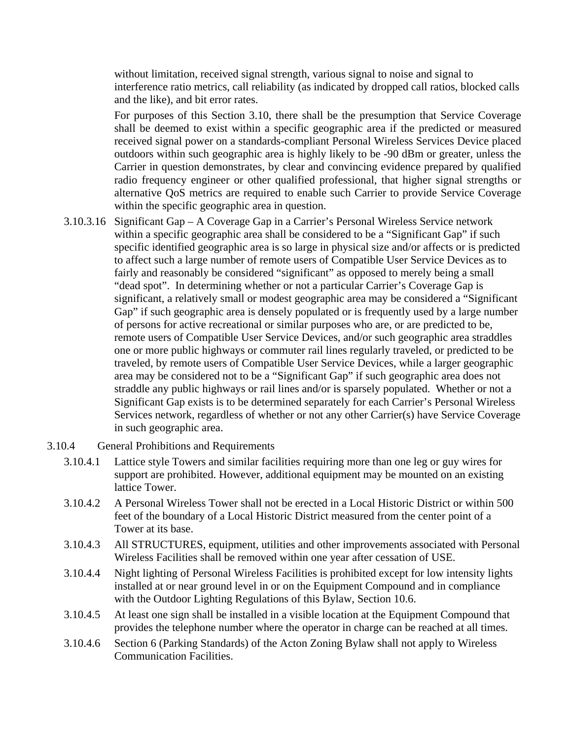without limitation, received signal strength, various signal to noise and signal to interference ratio metrics, call reliability (as indicated by dropped call ratios, blocked calls and the like), and bit error rates.

For purposes of this Section 3.10, there shall be the presumption that Service Coverage shall be deemed to exist within a specific geographic area if the predicted or measured received signal power on a standards-compliant Personal Wireless Services Device placed outdoors within such geographic area is highly likely to be -90 dBm or greater, unless the Carrier in question demonstrates, by clear and convincing evidence prepared by qualified radio frequency engineer or other qualified professional, that higher signal strengths or alternative QoS metrics are required to enable such Carrier to provide Service Coverage within the specific geographic area in question.

- 3.10.3.16 Significant Gap A Coverage Gap in a Carrier's Personal Wireless Service network within a specific geographic area shall be considered to be a "Significant Gap" if such specific identified geographic area is so large in physical size and/or affects or is predicted to affect such a large number of remote users of Compatible User Service Devices as to fairly and reasonably be considered "significant" as opposed to merely being a small "dead spot". In determining whether or not a particular Carrier's Coverage Gap is significant, a relatively small or modest geographic area may be considered a "Significant Gap" if such geographic area is densely populated or is frequently used by a large number of persons for active recreational or similar purposes who are, or are predicted to be, remote users of Compatible User Service Devices, and/or such geographic area straddles one or more public highways or commuter rail lines regularly traveled, or predicted to be traveled, by remote users of Compatible User Service Devices, while a larger geographic area may be considered not to be a "Significant Gap" if such geographic area does not straddle any public highways or rail lines and/or is sparsely populated. Whether or not a Significant Gap exists is to be determined separately for each Carrier's Personal Wireless Services network, regardless of whether or not any other Carrier(s) have Service Coverage in such geographic area.
- 3.10.4 General Prohibitions and Requirements
	- 3.10.4.1 Lattice style Towers and similar facilities requiring more than one leg or guy wires for support are prohibited. However, additional equipment may be mounted on an existing lattice Tower.
	- 3.10.4.2 A Personal Wireless Tower shall not be erected in a Local Historic District or within 500 feet of the boundary of a Local Historic District measured from the center point of a Tower at its base.
	- 3.10.4.3 All STRUCTURES, equipment, utilities and other improvements associated with Personal Wireless Facilities shall be removed within one year after cessation of USE.
	- 3.10.4.4 Night lighting of Personal Wireless Facilities is prohibited except for low intensity lights installed at or near ground level in or on the Equipment Compound and in compliance with the Outdoor Lighting Regulations of this Bylaw, Section 10.6.
	- 3.10.4.5 At least one sign shall be installed in a visible location at the Equipment Compound that provides the telephone number where the operator in charge can be reached at all times.
	- 3.10.4.6 Section 6 (Parking Standards) of the Acton Zoning Bylaw shall not apply to Wireless Communication Facilities.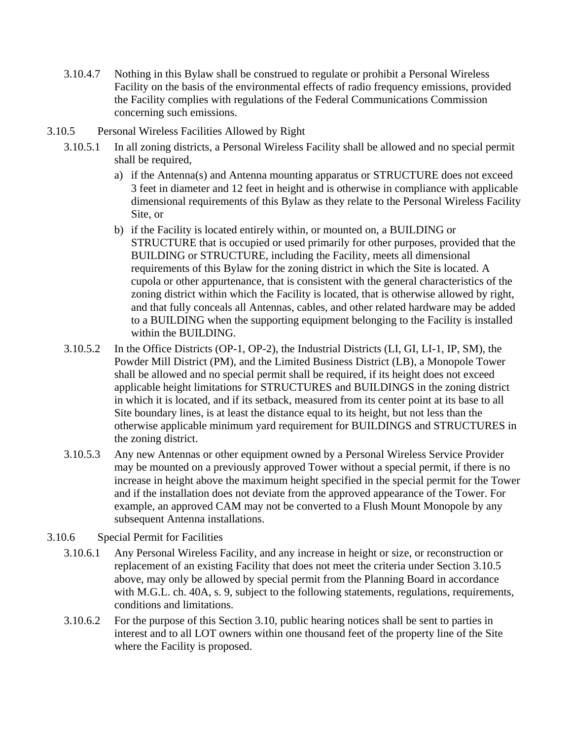- 3.10.4.7 Nothing in this Bylaw shall be construed to regulate or prohibit a Personal Wireless Facility on the basis of the environmental effects of radio frequency emissions, provided the Facility complies with regulations of the Federal Communications Commission concerning such emissions.
- 3.10.5 Personal Wireless Facilities Allowed by Right
	- 3.10.5.1 In all zoning districts, a Personal Wireless Facility shall be allowed and no special permit shall be required,
		- a) if the Antenna(s) and Antenna mounting apparatus or STRUCTURE does not exceed 3 feet in diameter and 12 feet in height and is otherwise in compliance with applicable dimensional requirements of this Bylaw as they relate to the Personal Wireless Facility Site, or
		- b) if the Facility is located entirely within, or mounted on, a BUILDING or STRUCTURE that is occupied or used primarily for other purposes, provided that the BUILDING or STRUCTURE, including the Facility, meets all dimensional requirements of this Bylaw for the zoning district in which the Site is located. A cupola or other appurtenance, that is consistent with the general characteristics of the zoning district within which the Facility is located, that is otherwise allowed by right, and that fully conceals all Antennas, cables, and other related hardware may be added to a BUILDING when the supporting equipment belonging to the Facility is installed within the BUILDING.
	- 3.10.5.2 In the Office Districts (OP-1, OP-2), the Industrial Districts (LI, GI, LI-1, IP, SM), the Powder Mill District (PM), and the Limited Business District (LB), a Monopole Tower shall be allowed and no special permit shall be required, if its height does not exceed applicable height limitations for STRUCTURES and BUILDINGS in the zoning district in which it is located, and if its setback, measured from its center point at its base to all Site boundary lines, is at least the distance equal to its height, but not less than the otherwise applicable minimum yard requirement for BUILDINGS and STRUCTURES in the zoning district.
	- 3.10.5.3 Any new Antennas or other equipment owned by a Personal Wireless Service Provider may be mounted on a previously approved Tower without a special permit, if there is no increase in height above the maximum height specified in the special permit for the Tower and if the installation does not deviate from the approved appearance of the Tower. For example, an approved CAM may not be converted to a Flush Mount Monopole by any subsequent Antenna installations.
- 3.10.6 Special Permit for Facilities
	- 3.10.6.1 Any Personal Wireless Facility, and any increase in height or size, or reconstruction or replacement of an existing Facility that does not meet the criteria under Section 3.10.5 above, may only be allowed by special permit from the Planning Board in accordance with M.G.L. ch. 40A, s. 9, subject to the following statements, regulations, requirements, conditions and limitations.
	- 3.10.6.2 For the purpose of this Section 3.10, public hearing notices shall be sent to parties in interest and to all LOT owners within one thousand feet of the property line of the Site where the Facility is proposed.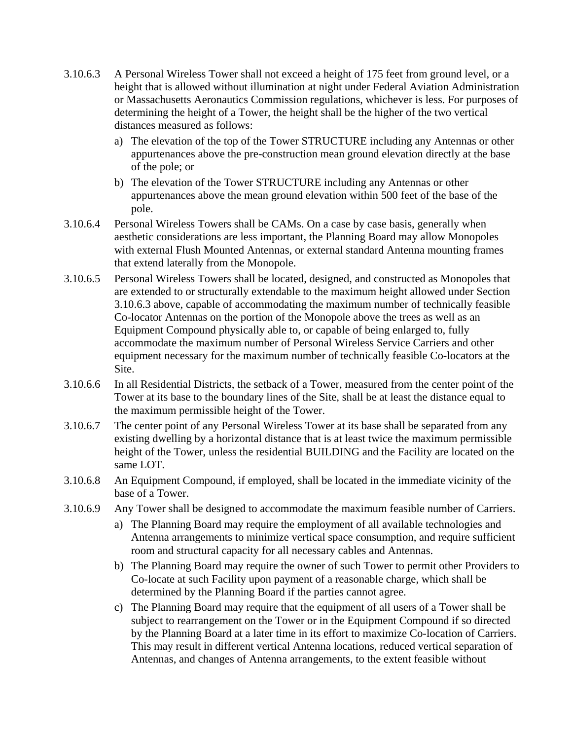- 3.10.6.3 A Personal Wireless Tower shall not exceed a height of 175 feet from ground level, or a height that is allowed without illumination at night under Federal Aviation Administration or Massachusetts Aeronautics Commission regulations, whichever is less. For purposes of determining the height of a Tower, the height shall be the higher of the two vertical distances measured as follows:
	- a) The elevation of the top of the Tower STRUCTURE including any Antennas or other appurtenances above the pre-construction mean ground elevation directly at the base of the pole; or
	- b) The elevation of the Tower STRUCTURE including any Antennas or other appurtenances above the mean ground elevation within 500 feet of the base of the pole.
- 3.10.6.4 Personal Wireless Towers shall be CAMs. On a case by case basis, generally when aesthetic considerations are less important, the Planning Board may allow Monopoles with external Flush Mounted Antennas, or external standard Antenna mounting frames that extend laterally from the Monopole.
- 3.10.6.5 Personal Wireless Towers shall be located, designed, and constructed as Monopoles that are extended to or structurally extendable to the maximum height allowed under Section 3.10.6.3 above, capable of accommodating the maximum number of technically feasible Co-locator Antennas on the portion of the Monopole above the trees as well as an Equipment Compound physically able to, or capable of being enlarged to, fully accommodate the maximum number of Personal Wireless Service Carriers and other equipment necessary for the maximum number of technically feasible Co-locators at the Site.
- 3.10.6.6 In all Residential Districts, the setback of a Tower, measured from the center point of the Tower at its base to the boundary lines of the Site, shall be at least the distance equal to the maximum permissible height of the Tower.
- 3.10.6.7 The center point of any Personal Wireless Tower at its base shall be separated from any existing dwelling by a horizontal distance that is at least twice the maximum permissible height of the Tower, unless the residential BUILDING and the Facility are located on the same LOT.
- 3.10.6.8 An Equipment Compound, if employed, shall be located in the immediate vicinity of the base of a Tower.
- 3.10.6.9 Any Tower shall be designed to accommodate the maximum feasible number of Carriers.
	- a) The Planning Board may require the employment of all available technologies and Antenna arrangements to minimize vertical space consumption, and require sufficient room and structural capacity for all necessary cables and Antennas.
	- b) The Planning Board may require the owner of such Tower to permit other Providers to Co-locate at such Facility upon payment of a reasonable charge, which shall be determined by the Planning Board if the parties cannot agree.
	- c) The Planning Board may require that the equipment of all users of a Tower shall be subject to rearrangement on the Tower or in the Equipment Compound if so directed by the Planning Board at a later time in its effort to maximize Co-location of Carriers. This may result in different vertical Antenna locations, reduced vertical separation of Antennas, and changes of Antenna arrangements, to the extent feasible without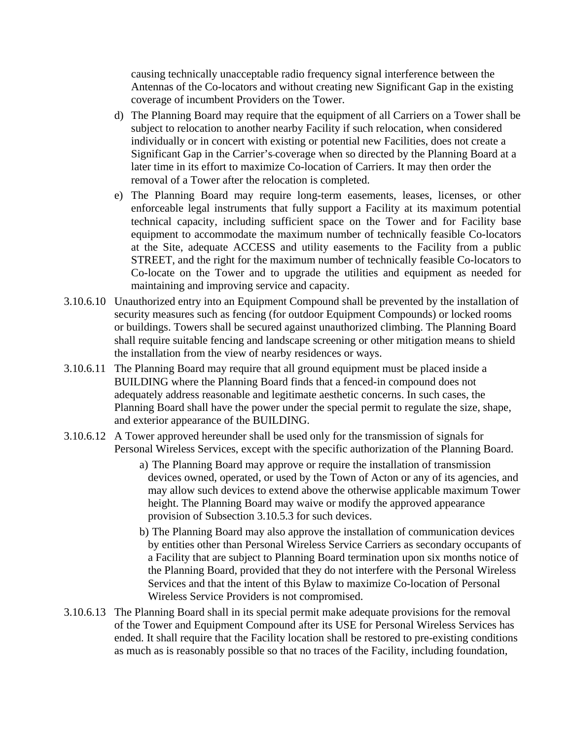causing technically unacceptable radio frequency signal interference between the Antennas of the Co-locators and without creating new Significant Gap in the existing coverage of incumbent Providers on the Tower.

- d) The Planning Board may require that the equipment of all Carriers on a Tower shall be subject to relocation to another nearby Facility if such relocation, when considered individually or in concert with existing or potential new Facilities, does not create a Significant Gap in the Carrier's coverage when so directed by the Planning Board at a later time in its effort to maximize Co-location of Carriers. It may then order the removal of a Tower after the relocation is completed.
- e) The Planning Board may require long-term easements, leases, licenses, or other enforceable legal instruments that fully support a Facility at its maximum potential technical capacity, including sufficient space on the Tower and for Facility base equipment to accommodate the maximum number of technically feasible Co-locators at the Site, adequate ACCESS and utility easements to the Facility from a public STREET, and the right for the maximum number of technically feasible Co-locators to Co-locate on the Tower and to upgrade the utilities and equipment as needed for maintaining and improving service and capacity.
- 3.10.6.10 Unauthorized entry into an Equipment Compound shall be prevented by the installation of security measures such as fencing (for outdoor Equipment Compounds) or locked rooms or buildings. Towers shall be secured against unauthorized climbing. The Planning Board shall require suitable fencing and landscape screening or other mitigation means to shield the installation from the view of nearby residences or ways.
- 3.10.6.11 The Planning Board may require that all ground equipment must be placed inside a BUILDING where the Planning Board finds that a fenced-in compound does not adequately address reasonable and legitimate aesthetic concerns. In such cases, the Planning Board shall have the power under the special permit to regulate the size, shape, and exterior appearance of the BUILDING.
- 3.10.6.12 A Tower approved hereunder shall be used only for the transmission of signals for Personal Wireless Services, except with the specific authorization of the Planning Board.
	- a) The Planning Board may approve or require the installation of transmission devices owned, operated, or used by the Town of Acton or any of its agencies, and may allow such devices to extend above the otherwise applicable maximum Tower height. The Planning Board may waive or modify the approved appearance provision of Subsection 3.10.5.3 for such devices.
	- b) The Planning Board may also approve the installation of communication devices by entities other than Personal Wireless Service Carriers as secondary occupants of a Facility that are subject to Planning Board termination upon six months notice of the Planning Board, provided that they do not interfere with the Personal Wireless Services and that the intent of this Bylaw to maximize Co-location of Personal Wireless Service Providers is not compromised.
- 3.10.6.13 The Planning Board shall in its special permit make adequate provisions for the removal of the Tower and Equipment Compound after its USE for Personal Wireless Services has ended. It shall require that the Facility location shall be restored to pre-existing conditions as much as is reasonably possible so that no traces of the Facility, including foundation,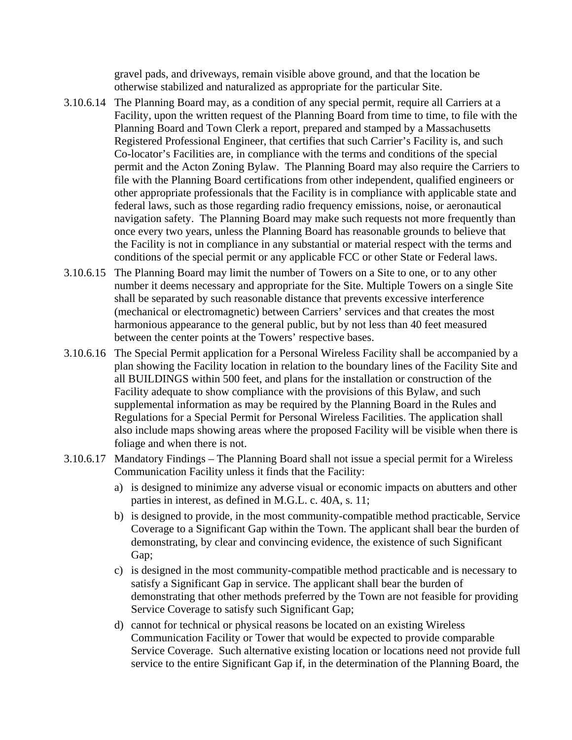gravel pads, and driveways, remain visible above ground, and that the location be otherwise stabilized and naturalized as appropriate for the particular Site.

- 3.10.6.14 The Planning Board may, as a condition of any special permit, require all Carriers at a Facility, upon the written request of the Planning Board from time to time, to file with the Planning Board and Town Clerk a report, prepared and stamped by a Massachusetts Registered Professional Engineer, that certifies that such Carrier's Facility is, and such Co-locator's Facilities are, in compliance with the terms and conditions of the special permit and the Acton Zoning Bylaw. The Planning Board may also require the Carriers to file with the Planning Board certifications from other independent, qualified engineers or other appropriate professionals that the Facility is in compliance with applicable state and federal laws, such as those regarding radio frequency emissions, noise, or aeronautical navigation safety. The Planning Board may make such requests not more frequently than once every two years, unless the Planning Board has reasonable grounds to believe that the Facility is not in compliance in any substantial or material respect with the terms and conditions of the special permit or any applicable FCC or other State or Federal laws.
- 3.10.6.15 The Planning Board may limit the number of Towers on a Site to one, or to any other number it deems necessary and appropriate for the Site. Multiple Towers on a single Site shall be separated by such reasonable distance that prevents excessive interference (mechanical or electromagnetic) between Carriers' services and that creates the most harmonious appearance to the general public, but by not less than 40 feet measured between the center points at the Towers' respective bases.
- 3.10.6.16 The Special Permit application for a Personal Wireless Facility shall be accompanied by a plan showing the Facility location in relation to the boundary lines of the Facility Site and all BUILDINGS within 500 feet, and plans for the installation or construction of the Facility adequate to show compliance with the provisions of this Bylaw, and such supplemental information as may be required by the Planning Board in the Rules and Regulations for a Special Permit for Personal Wireless Facilities. The application shall also include maps showing areas where the proposed Facility will be visible when there is foliage and when there is not.
- 3.10.6.17 Mandatory Findings The Planning Board shall not issue a special permit for a Wireless Communication Facility unless it finds that the Facility:
	- a) is designed to minimize any adverse visual or economic impacts on abutters and other parties in interest, as defined in M.G.L. c. 40A, s. 11;
	- b) is designed to provide, in the most community-compatible method practicable, Service Coverage to a Significant Gap within the Town. The applicant shall bear the burden of demonstrating, by clear and convincing evidence, the existence of such Significant Gap;
	- c) is designed in the most community-compatible method practicable and is necessary to satisfy a Significant Gap in service. The applicant shall bear the burden of demonstrating that other methods preferred by the Town are not feasible for providing Service Coverage to satisfy such Significant Gap;
	- d) cannot for technical or physical reasons be located on an existing Wireless Communication Facility or Tower that would be expected to provide comparable Service Coverage. Such alternative existing location or locations need not provide full service to the entire Significant Gap if, in the determination of the Planning Board, the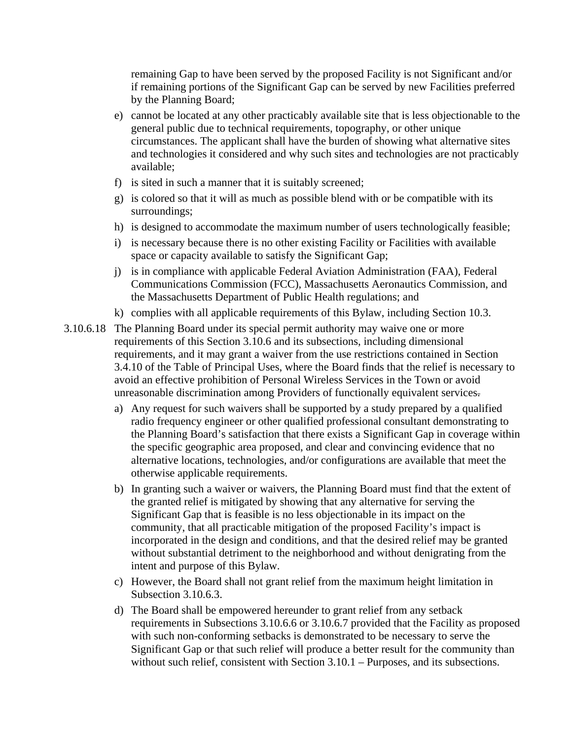remaining Gap to have been served by the proposed Facility is not Significant and/or if remaining portions of the Significant Gap can be served by new Facilities preferred by the Planning Board;

- e) cannot be located at any other practicably available site that is less objectionable to the general public due to technical requirements, topography, or other unique circumstances. The applicant shall have the burden of showing what alternative sites and technologies it considered and why such sites and technologies are not practicably available;
- f) is sited in such a manner that it is suitably screened;
- g) is colored so that it will as much as possible blend with or be compatible with its surroundings;
- h) is designed to accommodate the maximum number of users technologically feasible;
- i) is necessary because there is no other existing Facility or Facilities with available space or capacity available to satisfy the Significant Gap;
- j) is in compliance with applicable Federal Aviation Administration (FAA), Federal Communications Commission (FCC), Massachusetts Aeronautics Commission, and the Massachusetts Department of Public Health regulations; and
- k) complies with all applicable requirements of this Bylaw, including Section 10.3.
- 3.10.6.18 The Planning Board under its special permit authority may waive one or more requirements of this Section 3.10.6 and its subsections, including dimensional requirements, and it may grant a waiver from the use restrictions contained in Section 3.4.10 of the Table of Principal Uses, where the Board finds that the relief is necessary to avoid an effective prohibition of Personal Wireless Services in the Town or avoid unreasonable discrimination among Providers of functionally equivalent services.
	- a) Any request for such waivers shall be supported by a study prepared by a qualified radio frequency engineer or other qualified professional consultant demonstrating to the Planning Board's satisfaction that there exists a Significant Gap in coverage within the specific geographic area proposed, and clear and convincing evidence that no alternative locations, technologies, and/or configurations are available that meet the otherwise applicable requirements.
	- b) In granting such a waiver or waivers, the Planning Board must find that the extent of the granted relief is mitigated by showing that any alternative for serving the Significant Gap that is feasible is no less objectionable in its impact on the community, that all practicable mitigation of the proposed Facility's impact is incorporated in the design and conditions, and that the desired relief may be granted without substantial detriment to the neighborhood and without denigrating from the intent and purpose of this Bylaw.
	- c) However, the Board shall not grant relief from the maximum height limitation in Subsection 3.10.6.3.
	- d) The Board shall be empowered hereunder to grant relief from any setback requirements in Subsections 3.10.6.6 or 3.10.6.7 provided that the Facility as proposed with such non-conforming setbacks is demonstrated to be necessary to serve the Significant Gap or that such relief will produce a better result for the community than without such relief, consistent with Section 3.10.1 – Purposes, and its subsections.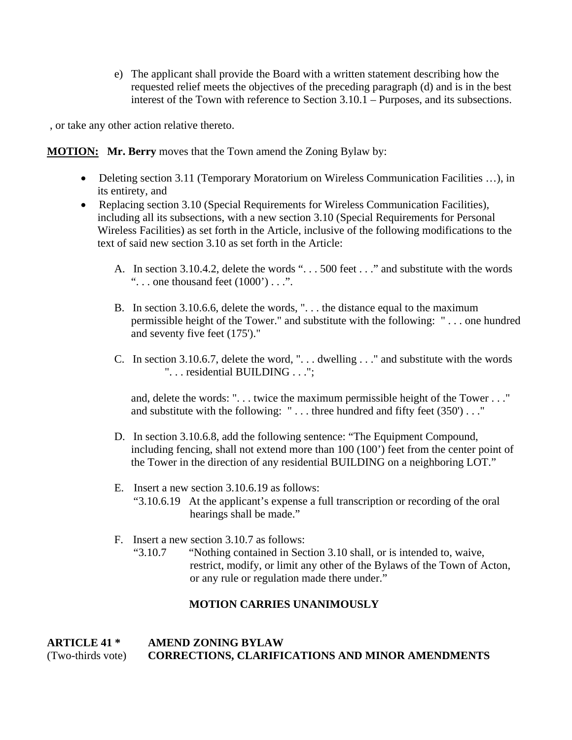e) The applicant shall provide the Board with a written statement describing how the requested relief meets the objectives of the preceding paragraph (d) and is in the best interest of the Town with reference to Section 3.10.1 – Purposes, and its subsections.

, or take any other action relative thereto.

**MOTION: Mr. Berry** moves that the Town amend the Zoning Bylaw by:

- Deleting section 3.11 (Temporary Moratorium on Wireless Communication Facilities ...), in its entirety, and
- Replacing section 3.10 (Special Requirements for Wireless Communication Facilities), including all its subsections, with a new section 3.10 (Special Requirements for Personal Wireless Facilities) as set forth in the Article, inclusive of the following modifications to the text of said new section 3.10 as set forth in the Article:
	- A. In section 3.10.4.2, delete the words ". . . 500 feet . . ." and substitute with the words "... one thousand feet  $(1000)$ "...".
	- B. In section 3.10.6.6, delete the words, ". . . the distance equal to the maximum permissible height of the Tower." and substitute with the following: " . . . one hundred and seventy five feet (175')."
	- C. In section 3.10.6.7, delete the word, ". . . dwelling . . ." and substitute with the words ". . . residential BUILDING . . .";

and, delete the words: ". . . twice the maximum permissible height of the Tower . . ." and substitute with the following:  $" \dots$  three hundred and fifty feet (350')  $\dots$ "

- D. In section 3.10.6.8, add the following sentence: "The Equipment Compound, including fencing, shall not extend more than 100 (100') feet from the center point of the Tower in the direction of any residential BUILDING on a neighboring LOT."
- E. Insert a new section 3.10.6.19 as follows: "3.10.6.19 At the applicant's expense a full transcription or recording of the oral hearings shall be made."
- F. Insert a new section 3.10.7 as follows:
	- "3.10.7 "Nothing contained in Section 3.10 shall, or is intended to, waive, restrict, modify, or limit any other of the Bylaws of the Town of Acton, or any rule or regulation made there under."

# **MOTION CARRIES UNANIMOUSLY**

# **ARTICLE 41 \* AMEND ZONING BYLAW**  (Two-thirds vote) **CORRECTIONS, CLARIFICATIONS AND MINOR AMENDMENTS**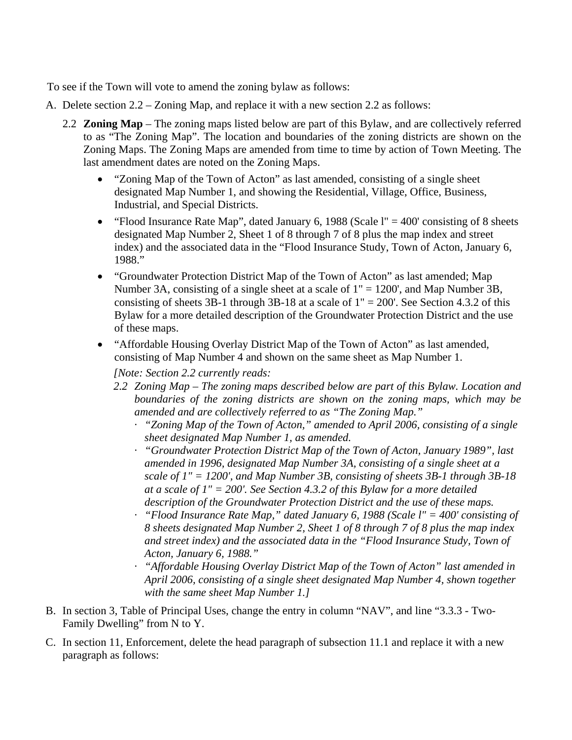To see if the Town will vote to amend the zoning bylaw as follows:

- A. Delete section 2.2 Zoning Map, and replace it with a new section 2.2 as follows:
	- 2.2 **Zoning Map**  The zoning maps listed below are part of this Bylaw, and are collectively referred to as "The Zoning Map". The location and boundaries of the zoning districts are shown on the Zoning Maps. The Zoning Maps are amended from time to time by action of Town Meeting. The last amendment dates are noted on the Zoning Maps.
		- "Zoning Map of the Town of Acton" as last amended, consisting of a single sheet designated Map Number 1, and showing the Residential, Village, Office, Business, Industrial, and Special Districts.
		- "Flood Insurance Rate Map", dated January 6, 1988 (Scale  $l'' = 400'$  consisting of 8 sheets designated Map Number 2, Sheet 1 of 8 through 7 of 8 plus the map index and street index) and the associated data in the "Flood Insurance Study, Town of Acton, January 6, 1988."
		- "Groundwater Protection District Map of the Town of Acton" as last amended; Map Number 3A, consisting of a single sheet at a scale of 1" = 1200', and Map Number 3B, consisting of sheets 3B-1 through 3B-18 at a scale of  $1" = 200'$ . See Section 4.3.2 of this Bylaw for a more detailed description of the Groundwater Protection District and the use of these maps.
		- "Affordable Housing Overlay District Map of the Town of Acton" as last amended, consisting of Map Number 4 and shown on the same sheet as Map Number 1.

*[Note: Section 2.2 currently reads:* 

- *2.2 Zoning Map The zoning maps described below are part of this Bylaw. Location and boundaries of the zoning districts are shown on the zoning maps, which may be amended and are collectively referred to as "The Zoning Map."*
	- · *"Zoning Map of the Town of Acton," amended to April 2006, consisting of a single sheet designated Map Number 1, as amended.*
	- · *"Groundwater Protection District Map of the Town of Acton, January 1989", last amended in 1996, designated Map Number 3A, consisting of a single sheet at a scale of 1" = 1200', and Map Number 3B, consisting of sheets 3B-1 through 3B-18 at a scale of 1" = 200'. See Section 4.3.2 of this Bylaw for a more detailed description of the Groundwater Protection District and the use of these maps.*
	- · *"Flood Insurance Rate Map," dated January 6, 1988 (Scale l" = 400' consisting of 8 sheets designated Map Number 2, Sheet 1 of 8 through 7 of 8 plus the map index and street index) and the associated data in the "Flood Insurance Study, Town of Acton, January 6, 1988."*
	- · *"Affordable Housing Overlay District Map of the Town of Acton" last amended in April 2006, consisting of a single sheet designated Map Number 4, shown together with the same sheet Map Number 1.]*
- B. In section 3, Table of Principal Uses, change the entry in column "NAV", and line "3.3.3 Two-Family Dwelling" from N to Y.
- C. In section 11, Enforcement, delete the head paragraph of subsection 11.1 and replace it with a new paragraph as follows: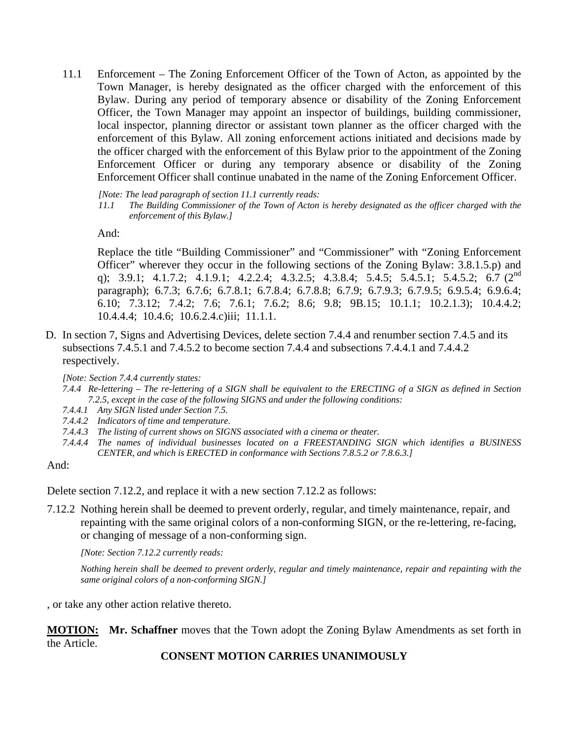11.1 Enforcement – The Zoning Enforcement Officer of the Town of Acton, as appointed by the Town Manager, is hereby designated as the officer charged with the enforcement of this Bylaw. During any period of temporary absence or disability of the Zoning Enforcement Officer, the Town Manager may appoint an inspector of buildings, building commissioner, local inspector, planning director or assistant town planner as the officer charged with the enforcement of this Bylaw. All zoning enforcement actions initiated and decisions made by the officer charged with the enforcement of this Bylaw prior to the appointment of the Zoning Enforcement Officer or during any temporary absence or disability of the Zoning Enforcement Officer shall continue unabated in the name of the Zoning Enforcement Officer.

*[Note: The lead paragraph of section 11.1 currently reads:* 

*11.1 The Building Commissioner of the Town of Acton is hereby designated as the officer charged with the enforcement of this Bylaw.]* 

And:

Replace the title "Building Commissioner" and "Commissioner" with "Zoning Enforcement Officer" wherever they occur in the following sections of the Zoning Bylaw: 3.8.1.5.p) and q); 3.9.1; 4.1.7.2; 4.1.9.1; 4.2.2.4; 4.3.2.5; 4.3.8.4; 5.4.5; 5.4.5.1; 5.4.5.2; 6.7 (2<sup>nd</sup> paragraph); 6.7.3; 6.7.6; 6.7.8.1; 6.7.8.4; 6.7.8.8; 6.7.9; 6.7.9.3; 6.7.9.5; 6.9.5.4; 6.9.6.4; 6.10; 7.3.12; 7.4.2; 7.6; 7.6.1; 7.6.2; 8.6; 9.8; 9B.15; 10.1.1; 10.2.1.3); 10.4.4.2; 10.4.4.4; 10.4.6; 10.6.2.4.c)iii; 11.1.1.

D. In section 7, Signs and Advertising Devices, delete section 7.4.4 and renumber section 7.4.5 and its subsections 7.4.5.1 and 7.4.5.2 to become section 7.4.4 and subsections 7.4.4.1 and 7.4.4.2 respectively.

*[Note: Section 7.4.4 currently states:* 

- *7.4.4 Re-lettering The re-lettering of a SIGN shall be equivalent to the ERECTING of a SIGN as defined in Section 7.2.5, except in the case of the following SIGNS and under the following conditions:*
- *7.4.4.1 Any SIGN listed under Section 7.5.*
- *7.4.4.2 Indicators of time and temperature.*
- *7.4.4.3 The listing of current shows on SIGNS associated with a cinema or theater.*
- *7.4.4.4 The names of individual businesses located on a FREESTANDING SIGN which identifies a BUSINESS CENTER, and which is ERECTED in conformance with Sections 7.8.5.2 or 7.8.6.3.]*

And:

Delete section 7.12.2, and replace it with a new section 7.12.2 as follows:

7.12.2 Nothing herein shall be deemed to prevent orderly, regular, and timely maintenance, repair, and repainting with the same original colors of a non-conforming SIGN, or the re-lettering, re-facing, or changing of message of a non-conforming sign.

*[Note: Section 7.12.2 currently reads:* 

*Nothing herein shall be deemed to prevent orderly, regular and timely maintenance, repair and repainting with the same original colors of a non-conforming SIGN.]* 

, or take any other action relative thereto.

**MOTION:** Mr. Schaffner moves that the Town adopt the Zoning Bylaw Amendments as set forth in the Article.

**CONSENT MOTION CARRIES UNANIMOUSLY**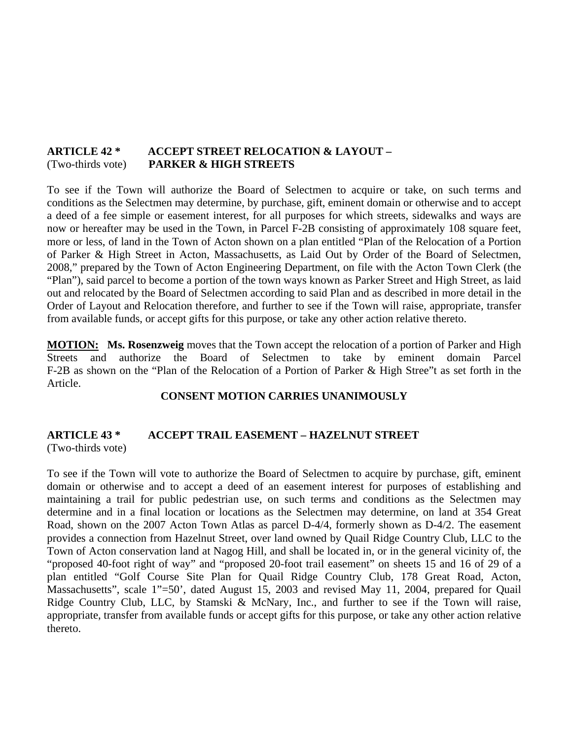# **ARTICLE 42 \* ACCEPT STREET RELOCATION & LAYOUT –**  (Two-thirds vote) **PARKER & HIGH STREETS**

To see if the Town will authorize the Board of Selectmen to acquire or take, on such terms and conditions as the Selectmen may determine, by purchase, gift, eminent domain or otherwise and to accept a deed of a fee simple or easement interest, for all purposes for which streets, sidewalks and ways are now or hereafter may be used in the Town, in Parcel F-2B consisting of approximately 108 square feet, more or less, of land in the Town of Acton shown on a plan entitled "Plan of the Relocation of a Portion of Parker & High Street in Acton, Massachusetts, as Laid Out by Order of the Board of Selectmen, 2008," prepared by the Town of Acton Engineering Department, on file with the Acton Town Clerk (the "Plan"), said parcel to become a portion of the town ways known as Parker Street and High Street, as laid out and relocated by the Board of Selectmen according to said Plan and as described in more detail in the Order of Layout and Relocation therefore, and further to see if the Town will raise, appropriate, transfer from available funds, or accept gifts for this purpose, or take any other action relative thereto.

**MOTION: Ms. Rosenzweig** moves that the Town accept the relocation of a portion of Parker and High Streets and authorize the Board of Selectmen to take by eminent domain Parcel F-2B as shown on the "Plan of the Relocation of a Portion of Parker & High Stree"t as set forth in the Article.

#### **CONSENT MOTION CARRIES UNANIMOUSLY**

### **ARTICLE 43 \* ACCEPT TRAIL EASEMENT – HAZELNUT STREET**  (Two-thirds vote)

To see if the Town will vote to authorize the Board of Selectmen to acquire by purchase, gift, eminent domain or otherwise and to accept a deed of an easement interest for purposes of establishing and maintaining a trail for public pedestrian use, on such terms and conditions as the Selectmen may determine and in a final location or locations as the Selectmen may determine, on land at 354 Great Road, shown on the 2007 Acton Town Atlas as parcel D-4/4, formerly shown as D-4/2. The easement provides a connection from Hazelnut Street, over land owned by Quail Ridge Country Club, LLC to the Town of Acton conservation land at Nagog Hill, and shall be located in, or in the general vicinity of, the "proposed 40-foot right of way" and "proposed 20-foot trail easement" on sheets 15 and 16 of 29 of a plan entitled "Golf Course Site Plan for Quail Ridge Country Club, 178 Great Road, Acton, Massachusetts", scale 1"=50', dated August 15, 2003 and revised May 11, 2004, prepared for Quail Ridge Country Club, LLC, by Stamski & McNary, Inc., and further to see if the Town will raise, appropriate, transfer from available funds or accept gifts for this purpose, or take any other action relative thereto.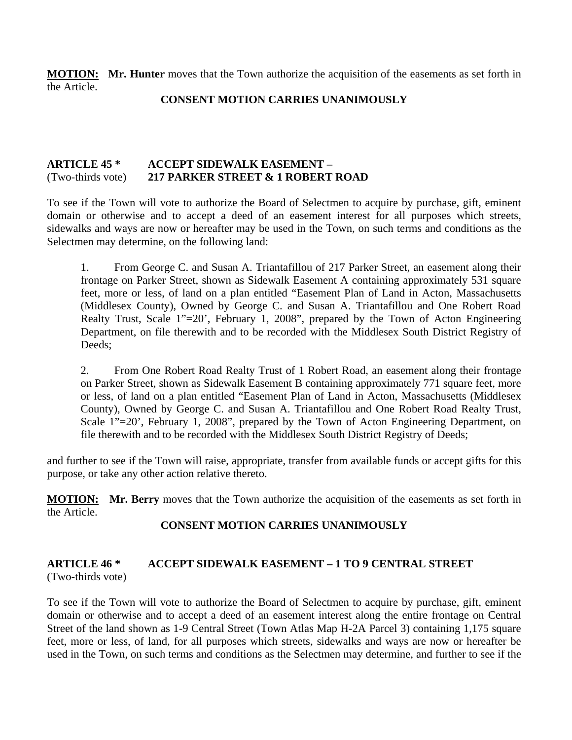**MOTION:** Mr. Hunter moves that the Town authorize the acquisition of the easements as set forth in the Article.

### **CONSENT MOTION CARRIES UNANIMOUSLY**

# **ARTICLE 45 \* ACCEPT SIDEWALK EASEMENT –**  (Two-thirds vote) **217 PARKER STREET & 1 ROBERT ROAD**

To see if the Town will vote to authorize the Board of Selectmen to acquire by purchase, gift, eminent domain or otherwise and to accept a deed of an easement interest for all purposes which streets, sidewalks and ways are now or hereafter may be used in the Town, on such terms and conditions as the Selectmen may determine, on the following land:

1. From George C. and Susan A. Triantafillou of 217 Parker Street, an easement along their frontage on Parker Street, shown as Sidewalk Easement A containing approximately 531 square feet, more or less, of land on a plan entitled "Easement Plan of Land in Acton, Massachusetts (Middlesex County), Owned by George C. and Susan A. Triantafillou and One Robert Road Realty Trust, Scale 1"=20', February 1, 2008", prepared by the Town of Acton Engineering Department, on file therewith and to be recorded with the Middlesex South District Registry of Deeds;

2. From One Robert Road Realty Trust of 1 Robert Road, an easement along their frontage on Parker Street, shown as Sidewalk Easement B containing approximately 771 square feet, more or less, of land on a plan entitled "Easement Plan of Land in Acton, Massachusetts (Middlesex County), Owned by George C. and Susan A. Triantafillou and One Robert Road Realty Trust, Scale 1"=20', February 1, 2008", prepared by the Town of Acton Engineering Department, on file therewith and to be recorded with the Middlesex South District Registry of Deeds;

and further to see if the Town will raise, appropriate, transfer from available funds or accept gifts for this purpose, or take any other action relative thereto.

**MOTION: Mr. Berry** moves that the Town authorize the acquisition of the easements as set forth in the Article.

# **CONSENT MOTION CARRIES UNANIMOUSLY**

#### **ARTICLE 46 \* ACCEPT SIDEWALK EASEMENT – 1 TO 9 CENTRAL STREET**  (Two-thirds vote)

To see if the Town will vote to authorize the Board of Selectmen to acquire by purchase, gift, eminent domain or otherwise and to accept a deed of an easement interest along the entire frontage on Central Street of the land shown as 1-9 Central Street (Town Atlas Map H-2A Parcel 3) containing 1,175 square feet, more or less, of land, for all purposes which streets, sidewalks and ways are now or hereafter be used in the Town, on such terms and conditions as the Selectmen may determine, and further to see if the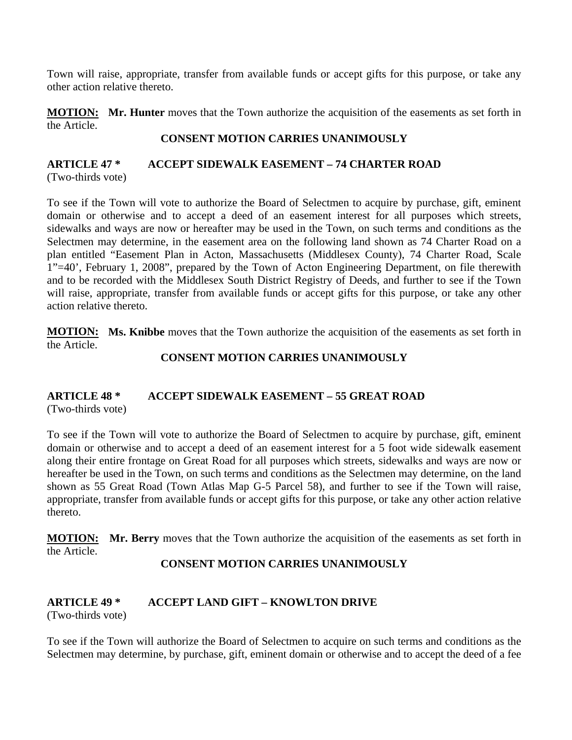Town will raise, appropriate, transfer from available funds or accept gifts for this purpose, or take any other action relative thereto.

**MOTION:** Mr. Hunter moves that the Town authorize the acquisition of the easements as set forth in the Article.

### **CONSENT MOTION CARRIES UNANIMOUSLY**

### **ARTICLE 47 \* ACCEPT SIDEWALK EASEMENT – 74 CHARTER ROAD**  (Two-thirds vote)

To see if the Town will vote to authorize the Board of Selectmen to acquire by purchase, gift, eminent domain or otherwise and to accept a deed of an easement interest for all purposes which streets, sidewalks and ways are now or hereafter may be used in the Town, on such terms and conditions as the Selectmen may determine, in the easement area on the following land shown as 74 Charter Road on a plan entitled "Easement Plan in Acton, Massachusetts (Middlesex County), 74 Charter Road, Scale 1"=40', February 1, 2008", prepared by the Town of Acton Engineering Department, on file therewith and to be recorded with the Middlesex South District Registry of Deeds, and further to see if the Town will raise, appropriate, transfer from available funds or accept gifts for this purpose, or take any other action relative thereto.

**MOTION:** Ms. Knibbe moves that the Town authorize the acquisition of the easements as set forth in the Article.

# **CONSENT MOTION CARRIES UNANIMOUSLY**

#### **ARTICLE 48 \* ACCEPT SIDEWALK EASEMENT – 55 GREAT ROAD**  (Two-thirds vote)

To see if the Town will vote to authorize the Board of Selectmen to acquire by purchase, gift, eminent domain or otherwise and to accept a deed of an easement interest for a 5 foot wide sidewalk easement along their entire frontage on Great Road for all purposes which streets, sidewalks and ways are now or hereafter be used in the Town, on such terms and conditions as the Selectmen may determine, on the land shown as 55 Great Road (Town Atlas Map G-5 Parcel 58), and further to see if the Town will raise, appropriate, transfer from available funds or accept gifts for this purpose, or take any other action relative thereto.

**MOTION: Mr. Berry** moves that the Town authorize the acquisition of the easements as set forth in the Article.

# **CONSENT MOTION CARRIES UNANIMOUSLY**

# **ARTICLE 49 \* ACCEPT LAND GIFT – KNOWLTON DRIVE**

(Two-thirds vote)

To see if the Town will authorize the Board of Selectmen to acquire on such terms and conditions as the Selectmen may determine, by purchase, gift, eminent domain or otherwise and to accept the deed of a fee